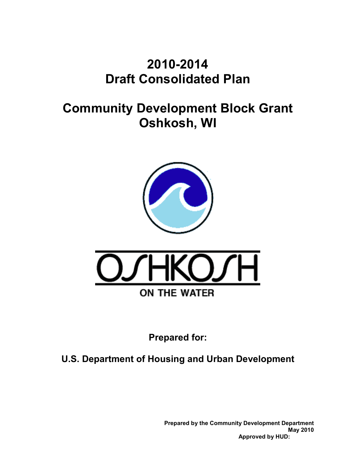## **2010-2014 Draft Consolidated Plan**

## **Community Development Block Grant Oshkosh, WI**





**Prepared for:** 

**U.S. Department of Housing and Urban Development** 

**Prepared by the Community Development Department May 2010 Approved by HUD:**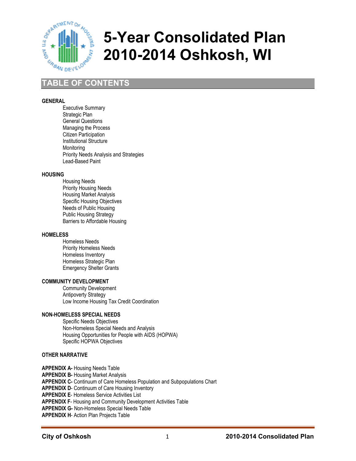

# **5-Year Consolidated Plan 2010-2014 Oshkosh, WI**

## **TABLE OF CONTENTS**

#### **GENERAL**

Executive Summary Strategic Plan General Questions Managing the Process Citizen Participation Institutional Structure **Monitoring** Priority Needs Analysis and Strategies Lead-Based Paint

#### **HOUSING**

Housing Needs Priority Housing Needs Housing Market Analysis Specific Housing Objectives Needs of Public Housing Public Housing Strategy Barriers to Affordable Housing

#### **HOMELESS**

Homeless Needs Priority Homeless Needs Homeless Inventory Homeless Strategic Plan Emergency Shelter Grants

#### **COMMUNITY DEVELOPMENT**

Community Development Antipoverty Strategy Low Income Housing Tax Credit Coordination

#### **NON-HOMELESS SPECIAL NEEDS**

Specific Needs Objectives Non-Homeless Special Needs and Analysis Housing Opportunities for People with AIDS (HOPWA) Specific HOPWA Objectives

#### **OTHER NARRATIVE**

**APPENDIX A-** Housing Needs Table

**APPENDIX B- Housing Market Analysis** 

**APPENDIX C-** Continuum of Care Homeless Population and Subpopulations Chart

**APPENDIX D**- Continuum of Care Housing Inventory

**APPENDIX E**- Homeless Service Activities List

**APPENDIX F**- Housing and Community Development Activities Table

**APPENDIX G-** Non-Homeless Special Needs Table

**APPENDIX H**- Action Plan Projects Table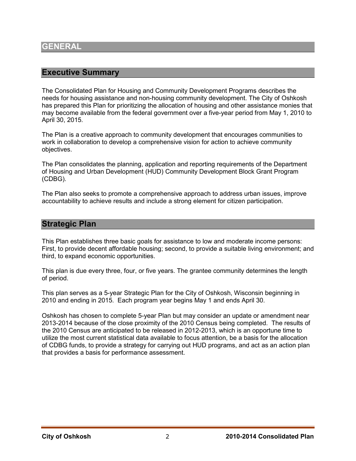#### **Executive Summary**

The Consolidated Plan for Housing and Community Development Programs describes the needs for housing assistance and non-housing community development. The City of Oshkosh has prepared this Plan for prioritizing the allocation of housing and other assistance monies that may become available from the federal government over a five-year period from May 1, 2010 to April 30, 2015.

The Plan is a creative approach to community development that encourages communities to work in collaboration to develop a comprehensive vision for action to achieve community objectives.

The Plan consolidates the planning, application and reporting requirements of the Department of Housing and Urban Development (HUD) Community Development Block Grant Program (CDBG).

The Plan also seeks to promote a comprehensive approach to address urban issues, improve accountability to achieve results and include a strong element for citizen participation.

#### **Strategic Plan**

This Plan establishes three basic goals for assistance to low and moderate income persons: First, to provide decent affordable housing; second, to provide a suitable living environment; and third, to expand economic opportunities.

This plan is due every three, four, or five years. The grantee community determines the length of period.

This plan serves as a 5-year Strategic Plan for the City of Oshkosh, Wisconsin beginning in 2010 and ending in 2015. Each program year begins May 1 and ends April 30.

Oshkosh has chosen to complete 5-year Plan but may consider an update or amendment near 2013-2014 because of the close proximity of the 2010 Census being completed. The results of the 2010 Census are anticipated to be released in 2012-2013, which is an opportune time to utilize the most current statistical data available to focus attention, be a basis for the allocation of CDBG funds, to provide a strategy for carrying out HUD programs, and act as an action plan that provides a basis for performance assessment.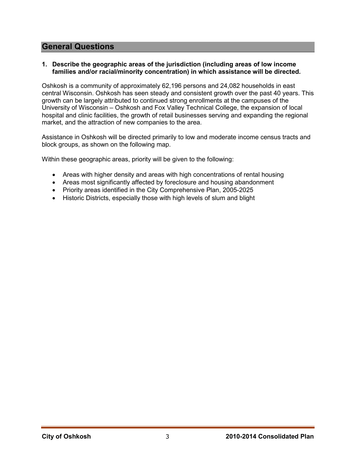## **General Questions**

#### **1. Describe the geographic areas of the jurisdiction (including areas of low income families and/or racial/minority concentration) in which assistance will be directed.**

Oshkosh is a community of approximately 62,196 persons and 24,082 households in east central Wisconsin. Oshkosh has seen steady and consistent growth over the past 40 years. This growth can be largely attributed to continued strong enrollments at the campuses of the University of Wisconsin – Oshkosh and Fox Valley Technical College, the expansion of local hospital and clinic facilities, the growth of retail businesses serving and expanding the regional market, and the attraction of new companies to the area.

Assistance in Oshkosh will be directed primarily to low and moderate income census tracts and block groups, as shown on the following map.

Within these geographic areas, priority will be given to the following:

- Areas with higher density and areas with high concentrations of rental housing
- Areas most significantly affected by foreclosure and housing abandonment
- Priority areas identified in the City Comprehensive Plan, 2005-2025
- Historic Districts, especially those with high levels of slum and blight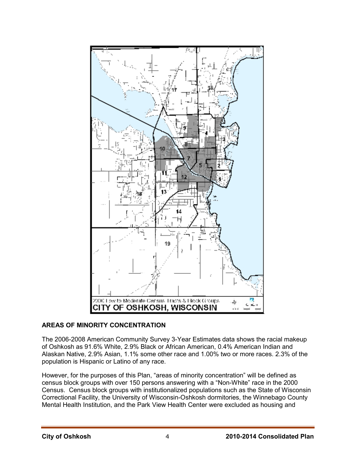

#### **AREAS OF MINORITY CONCENTRATION**

The 2006-2008 American Community Survey 3-Year Estimates data shows the racial makeup of Oshkosh as 91.6% White, 2.9% Black or African American, 0.4% American Indian and Alaskan Native, 2.9% Asian, 1.1% some other race and 1.00% two or more races. 2.3% of the population is Hispanic or Latino of any race.

However, for the purposes of this Plan, "areas of minority concentration" will be defined as census block groups with over 150 persons answering with a "Non-White" race in the 2000 Census. Census block groups with institutionalized populations such as the State of Wisconsin Correctional Facility, the University of Wisconsin-Oshkosh dormitories, the Winnebago County Mental Health Institution, and the Park View Health Center were excluded as housing and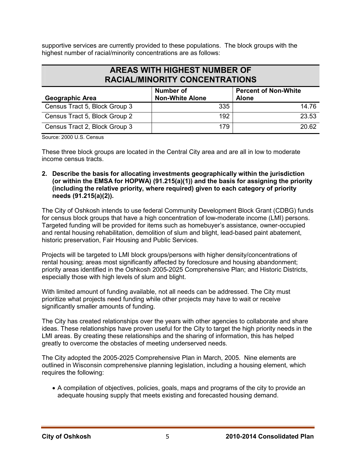supportive services are currently provided to these populations. The block groups with the highest number of racial/minority concentrations are as follows:

## **AREAS WITH HIGHEST NUMBER OF RACIAL/MINORITY CONCENTRATIONS**

| <b>Geographic Area</b>        | <b>Number of</b><br><b>Non-White Alone</b> | <b>Percent of Non-White</b><br><b>Alone</b> |
|-------------------------------|--------------------------------------------|---------------------------------------------|
| Census Tract 5, Block Group 3 | 335                                        | 14.76                                       |
| Census Tract 5, Block Group 2 | 192                                        | 23.53                                       |
| Census Tract 2, Block Group 3 | 179                                        | 20.62                                       |

Source: 2000 U.S. Census

These three block groups are located in the Central City area and are all in low to moderate income census tracts.

**2. Describe the basis for allocating investments geographically within the jurisdiction (or within the EMSA for HOPWA) (91.215(a)(1)) and the basis for assigning the priority (including the relative priority, where required) given to each category of priority needs (91.215(a)(2)).** 

The City of Oshkosh intends to use federal Community Development Block Grant (CDBG) funds for census block groups that have a high concentration of low-moderate income (LMI) persons. Targeted funding will be provided for items such as homebuyer's assistance, owner-occupied and rental housing rehabilitation, demolition of slum and blight, lead-based paint abatement, historic preservation, Fair Housing and Public Services.

Projects will be targeted to LMI block groups/persons with higher density/concentrations of rental housing; areas most significantly affected by foreclosure and housing abandonment; priority areas identified in the Oshkosh 2005-2025 Comprehensive Plan; and Historic Districts, especially those with high levels of slum and blight.

With limited amount of funding available, not all needs can be addressed. The City must prioritize what projects need funding while other projects may have to wait or receive significantly smaller amounts of funding.

The City has created relationships over the years with other agencies to collaborate and share ideas. These relationships have proven useful for the City to target the high priority needs in the LMI areas. By creating these relationships and the sharing of information, this has helped greatly to overcome the obstacles of meeting underserved needs.

The City adopted the 2005-2025 Comprehensive Plan in March, 2005. Nine elements are outlined in Wisconsin comprehensive planning legislation, including a housing element, which requires the following:

• A compilation of objectives, policies, goals, maps and programs of the city to provide an adequate housing supply that meets existing and forecasted housing demand.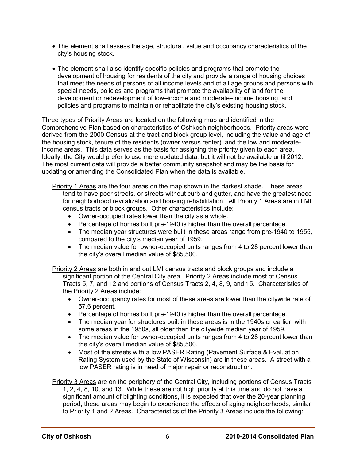- The element shall assess the age, structural, value and occupancy characteristics of the city's housing stock.
- The element shall also identify specific policies and programs that promote the development of housing for residents of the city and provide a range of housing choices that meet the needs of persons of all income levels and of all age groups and persons with special needs, policies and programs that promote the availability of land for the development or redevelopment of low–income and moderate–income housing, and policies and programs to maintain or rehabilitate the city's existing housing stock.

Three types of Priority Areas are located on the following map and identified in the Comprehensive Plan based on characteristics of Oshkosh neighborhoods. Priority areas were derived from the 2000 Census at the tract and block group level, including the value and age of the housing stock, tenure of the residents (owner versus renter), and the low and moderateincome areas. This data serves as the basis for assigning the priority given to each area. Ideally, the City would prefer to use more updated data, but it will not be available until 2012. The most current data will provide a better community snapshot and may be the basis for updating or amending the Consolidated Plan when the data is available.

- Priority 1 Areas are the four areas on the map shown in the darkest shade. These areas tend to have poor streets, or streets without curb and gutter, and have the greatest need for neighborhood revitalization and housing rehabilitation. All Priority 1 Areas are in LMI census tracts or block groups. Other characteristics include:
	- Owner-occupied rates lower than the city as a whole.
	- Percentage of homes built pre-1940 is higher than the overall percentage.
	- The median year structures were built in these areas range from pre-1940 to 1955, compared to the city's median year of 1959.
	- The median value for owner-occupied units ranges from 4 to 28 percent lower than the city's overall median value of \$85,500.

Priority 2 Areas are both in and out LMI census tracts and block groups and include a significant portion of the Central City area. Priority 2 Areas include most of Census Tracts 5, 7, and 12 and portions of Census Tracts 2, 4, 8, 9, and 15. Characteristics of the Priority 2 Areas include:

- Owner-occupancy rates for most of these areas are lower than the citywide rate of 57.6 percent.
- Percentage of homes built pre-1940 is higher than the overall percentage.
- The median year for structures built in these areas is in the 1940s or earlier, with some areas in the 1950s, all older than the citywide median year of 1959.
- The median value for owner-occupied units ranges from 4 to 28 percent lower than the city's overall median value of \$85,500.
- Most of the streets with a low PASER Rating (Pavement Surface & Evaluation Rating System used by the State of Wisconsin) are in these areas. A street with a low PASER rating is in need of major repair or reconstruction.

Priority 3 Areas are on the periphery of the Central City, including portions of Census Tracts 1, 2, 4, 8, 10, and 13. While these are not high priority at this time and do not have a significant amount of blighting conditions, it is expected that over the 20-year planning period, these areas may begin to experience the effects of aging neighborhoods, similar to Priority 1 and 2 Areas. Characteristics of the Priority 3 Areas include the following: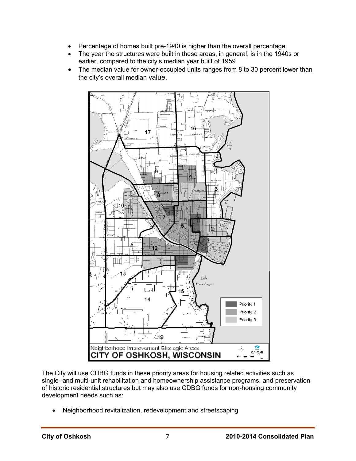- Percentage of homes built pre-1940 is higher than the overall percentage.
- The year the structures were built in these areas, in general, is in the 1940s or earlier, compared to the city's median year built of 1959.
- The median value for owner-occupied units ranges from 8 to 30 percent lower than the city's overall median value.



The City will use CDBG funds in these priority areas for housing related activities such as single- and multi-unit rehabilitation and homeownership assistance programs, and preservation of historic residential structures but may also use CDBG funds for non-housing community development needs such as:

• Neighborhood revitalization, redevelopment and streetscaping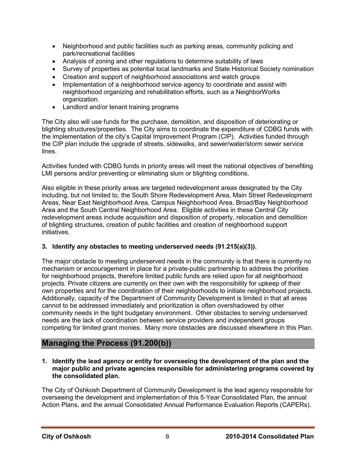- Neighborhood and public facilities such as parking areas, community policing and park/recreational facilities
- Analysis of zoning and other regulations to determine suitability of laws
- Survey of properties as potential local landmarks and State Historical Society nomination
- Creation and support of neighborhood associations and watch groups
- Implementation of a neighborhood service agency to coordinate and assist with neighborhood organizing and rehabilitation efforts, such as a NeighborWorks organization.
- Landlord and/or tenant training programs

The City also will use funds for the purchase, demolition, and disposition of deteriorating or blighting structures/properties. The City aims to coordinate the expenditure of CDBG funds with the implementation of the city's Capital Improvement Program (CIP). Activities funded through the CIP plan include the upgrade of streets, sidewalks, and sewer/water/storm sewer service lines.

Activities funded with CDBG funds in priority areas will meet the national objectives of benefiting LMI persons and/or preventing or eliminating slum or blighting conditions.

Also eligible in these priority areas are targeted redevelopment areas designated by the City including, but not limited to, the South Shore Redevelopment Area, Main Street Redevelopment Areas, Near East Neighborhood Area, Campus Neighborhood Area, Broad/Bay Neighborhood Area and the South Central Neighborhood Area. Eligible activities in these Central City redevelopment areas include acquisition and disposition of property, relocation and demolition of blighting structures, creation of public facilities and creation of neighborhood support initiatives.

#### **3. Identify any obstacles to meeting underserved needs (91.215(a)(3)).**

The major obstacle to meeting underserved needs in the community is that there is currently no mechanism or encouragement in place for a private-public partnership to address the priorities for neighborhood projects, therefore limited public funds are relied upon for all neighborhood projects. Private citizens are currently on their own with the responsibility for upkeep of their own properties and for the coordination of their neighborhoods to initiate neighborhood projects. Additionally, capacity of the Department of Community Development is limited in that all areas cannot to be addressed immediately and prioritization is often overshadowed by other community needs in the tight budgetary environment. Other obstacles to serving underserved needs are the lack of coordination between service providers and independent groups competing for limited grant monies. Many more obstacles are discussed elsewhere in this Plan.

## **Managing the Process (91.200(b))**

**1. Identify the lead agency or entity for overseeing the development of the plan and the major public and private agencies responsible for administering programs covered by the consolidated plan.** 

The City of Oshkosh Department of Community Development is the lead agency responsible for overseeing the development and implementation of this 5-Year Consolidated Plan, the annual Action Plans, and the annual Consolidated Annual Performance Evaluation Reports (CAPERs).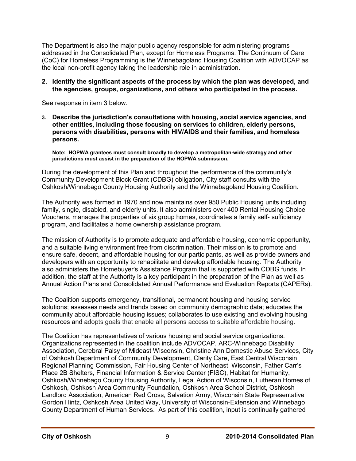The Department is also the major public agency responsible for administering programs addressed in the Consolidated Plan, except for Homeless Programs. The Continuum of Care (CoC) for Homeless Programming is the Winnebagoland Housing Coalition with ADVOCAP as the local non-profit agency taking the leadership role in administration.

#### **2. Identify the significant aspects of the process by which the plan was developed, and the agencies, groups, organizations, and others who participated in the process.**

See response in item 3 below.

**3. Describe the jurisdiction's consultations with housing, social service agencies, and other entities, including those focusing on services to children, elderly persons, persons with disabilities, persons with HIV/AIDS and their families, and homeless persons.** 

**Note: HOPWA grantees must consult broadly to develop a metropolitan-wide strategy and other jurisdictions must assist in the preparation of the HOPWA submission.** 

During the development of this Plan and throughout the performance of the community's Community Development Block Grant (CDBG) obligation, City staff consults with the Oshkosh/Winnebago County Housing Authority and the Winnebagoland Housing Coalition.

The Authority was formed in 1970 and now maintains over 950 Public Housing units including family, single, disabled, and elderly units. It also administers over 400 Rental Housing Choice Vouchers, manages the properties of six group homes, coordinates a family self- sufficiency program, and facilitates a home ownership assistance program.

The mission of Authority is to promote adequate and affordable housing, economic opportunity, and a suitable living environment free from discrimination. Their mission is to promote and ensure safe, decent, and affordable housing for our participants, as well as provide owners and developers with an opportunity to rehabilitate and develop affordable housing. The Authority also administers the Homebuyer's Assistance Program that is supported with CDBG funds. In addition, the staff at the Authority is a key participant in the preparation of the Plan as well as Annual Action Plans and Consolidated Annual Performance and Evaluation Reports (CAPERs).

The Coalition supports emergency, transitional, permanent housing and housing service solutions; assesses needs and trends based on community demographic data; educates the community about affordable housing issues; collaborates to use existing and evolving housing resources and adopts goals that enable all persons access to suitable affordable housing.

The Coalition has representatives of various housing and social service organizations. Organizations represented in the coalition include ADVOCAP, ARC-Winnebago Disability Association, Cerebral Palsy of Mideast Wisconsin, Christine Ann Domestic Abuse Services, City of Oshkosh Department of Community Development, Clarity Care, East Central Wisconsin Regional Planning Commission, Fair Housing Center of Northeast Wisconsin, Father Carr's Place 2B Shelters, Financial Information & Service Center (FISC), Habitat for Humanity, Oshkosh/Winnebago County Housing Authority, Legal Action of Wisconsin, Lutheran Homes of Oshkosh, Oshkosh Area Community Foundation, Oshkosh Area School District, Oshkosh Landlord Association, American Red Cross, Salvation Army, Wisconsin State Representative Gordon Hintz, Oshkosh Area United Way, University of Wisconsin-Extension and Winnebago County Department of Human Services. As part of this coalition, input is continually gathered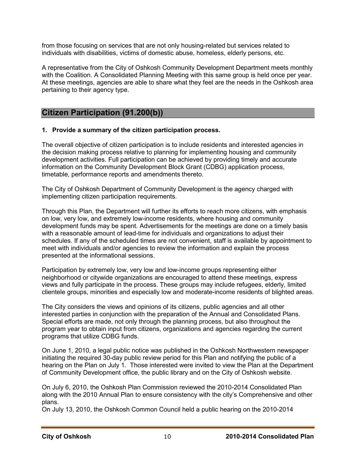from those focusing on services that are not only housing-related but services related to individuals with disabilities, victims of domestic abuse, homeless, elderly persons, etc.

A representative from the City of Oshkosh Community Development Department meets monthly with the Coalition. A Consolidated Planning Meeting with this same group is held once per year. At these meetings, agencies are able to share what they feel are the needs in the Oshkosh area pertaining to their agency type.

## **Citizen Participation (91.200(b))**

#### **1. Provide a summary of the citizen participation process.**

The overall objective of citizen participation is to include residents and interested agencies in the decision making process relative to planning for implementing housing and community development activities. Full participation can be achieved by providing timely and accurate information on the Community Development Block Grant (CDBG) application process, timetable, performance reports and amendments thereto.

The City of Oshkosh Department of Community Development is the agency charged with implementing citizen participation requirements.

Through this Plan, the Department will further its efforts to reach more citizens, with emphasis on low, very low, and extremely low-income residents, where housing and community development funds may be spent. Advertisements for the meetings are done on a timely basis with a reasonable amount of lead-time for individuals and organizations to adjust their schedules. If any of the scheduled times are not convenient, staff is available by appointment to meet with individuals and/or agencies to review the information and explain the process presented at the informational sessions.

Participation by extremely low, very low and low-income groups representing either neighborhood or citywide organizations are encouraged to attend these meetings, express views and fully participate in the process. These groups may include refugees, elderly, limited clientele groups, minorities and especially low and moderate-income residents of blighted areas.

The City considers the views and opinions of its citizens, public agencies and all other interested parties in conjunction with the preparation of the Annual and Consolidated Plans. Special efforts are made, not only through the planning process, but also throughout the program year to obtain input from citizens, organizations and agencies regarding the current programs that utilize CDBG funds.

On June 1, 2010, a legal public notice was published in the Oshkosh Northwestern newspaper initiating the required 30-day public review period for this Plan and notifying the public of a hearing on the Plan on July 1. Those interested were invited to view the Plan at the Department of Community Development office, the public library and on the City of Oshkosh website.

On July 6, 2010, the Oshkosh Plan Commission reviewed the 2010-2014 Consolidated Plan along with the 2010 Annual Plan to ensure consistency with the city's Comprehensive and other plans.

On July 13, 2010, the Oshkosh Common Council held a public hearing on the 2010-2014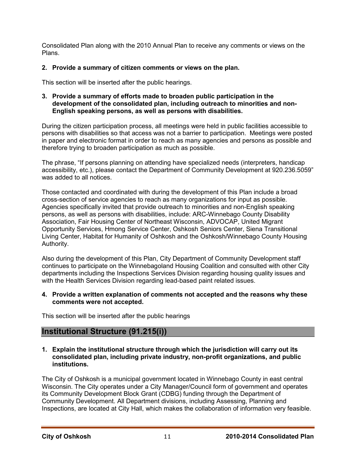Consolidated Plan along with the 2010 Annual Plan to receive any comments or views on the Plans.

#### **2. Provide a summary of citizen comments or views on the plan.**

This section will be inserted after the public hearings.

#### **3. Provide a summary of efforts made to broaden public participation in the development of the consolidated plan, including outreach to minorities and non-English speaking persons, as well as persons with disabilities.**

During the citizen participation process, all meetings were held in public facilities accessible to persons with disabilities so that access was not a barrier to participation. Meetings were posted in paper and electronic format in order to reach as many agencies and persons as possible and therefore trying to broaden participation as much as possible.

The phrase, "If persons planning on attending have specialized needs (interpreters, handicap accessibility, etc.), please contact the Department of Community Development at 920.236.5059" was added to all notices.

Those contacted and coordinated with during the development of this Plan include a broad cross-section of service agencies to reach as many organizations for input as possible. Agencies specifically invited that provide outreach to minorities and non-English speaking persons, as well as persons with disabilities, include: ARC-Winnebago County Disability Association, Fair Housing Center of Northeast Wisconsin, ADVOCAP, United Migrant Opportunity Services, Hmong Service Center, Oshkosh Seniors Center, Siena Transitional Living Center, Habitat for Humanity of Oshkosh and the Oshkosh/Winnebago County Housing Authority.

Also during the development of this Plan, City Department of Community Development staff continues to participate on the Winnebagoland Housing Coalition and consulted with other City departments including the Inspections Services Division regarding housing quality issues and with the Health Services Division regarding lead-based paint related issues.

#### **4. Provide a written explanation of comments not accepted and the reasons why these comments were not accepted.**

This section will be inserted after the public hearings

## **Institutional Structure (91.215(i))**

#### **1. Explain the institutional structure through which the jurisdiction will carry out its consolidated plan, including private industry, non-profit organizations, and public institutions.**

The City of Oshkosh is a municipal government located in Winnebago County in east central Wisconsin. The City operates under a City Manager/Council form of government and operates its Community Development Block Grant (CDBG) funding through the Department of Community Development. All Department divisions, including Assessing, Planning and Inspections, are located at City Hall, which makes the collaboration of information very feasible.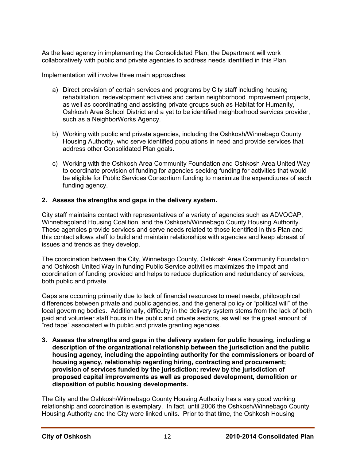As the lead agency in implementing the Consolidated Plan, the Department will work collaboratively with public and private agencies to address needs identified in this Plan.

Implementation will involve three main approaches:

- a) Direct provision of certain services and programs by City staff including housing rehabilitation, redevelopment activities and certain neighborhood improvement projects, as well as coordinating and assisting private groups such as Habitat for Humanity, Oshkosh Area School District and a yet to be identified neighborhood services provider, such as a NeighborWorks Agency.
- b) Working with public and private agencies, including the Oshkosh/Winnebago County Housing Authority, who serve identified populations in need and provide services that address other Consolidated Plan goals.
- c) Working with the Oshkosh Area Community Foundation and Oshkosh Area United Way to coordinate provision of funding for agencies seeking funding for activities that would be eligible for Public Services Consortium funding to maximize the expenditures of each funding agency.

#### **2. Assess the strengths and gaps in the delivery system.**

City staff maintains contact with representatives of a variety of agencies such as ADVOCAP, Winnebagoland Housing Coalition, and the Oshkosh/Winnebago County Housing Authority. These agencies provide services and serve needs related to those identified in this Plan and this contact allows staff to build and maintain relationships with agencies and keep abreast of issues and trends as they develop.

The coordination between the City, Winnebago County, Oshkosh Area Community Foundation and Oshkosh United Way in funding Public Service activities maximizes the impact and coordination of funding provided and helps to reduce duplication and redundancy of services, both public and private.

Gaps are occurring primarily due to lack of financial resources to meet needs, philosophical differences between private and public agencies, and the general policy or "political will" of the local governing bodies. Additionally, difficulty in the delivery system stems from the lack of both paid and volunteer staff hours in the public and private sectors, as well as the great amount of "red tape" associated with public and private granting agencies.

**3. Assess the strengths and gaps in the delivery system for public housing, including a description of the organizational relationship between the jurisdiction and the public housing agency, including the appointing authority for the commissioners or board of housing agency, relationship regarding hiring, contracting and procurement; provision of services funded by the jurisdiction; review by the jurisdiction of proposed capital improvements as well as proposed development, demolition or disposition of public housing developments.** 

The City and the Oshkosh/Winnebago County Housing Authority has a very good working relationship and coordination is exemplary. In fact, until 2006 the Oshkosh/Winnebago County Housing Authority and the City were linked units. Prior to that time, the Oshkosh Housing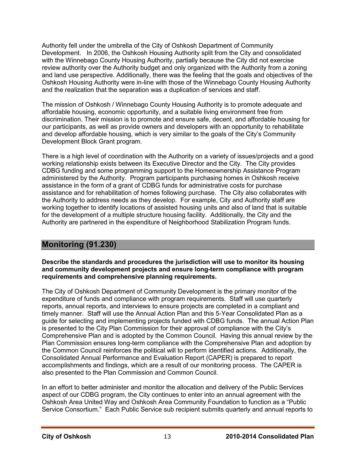Authority fell under the umbrella of the City of Oshkosh Department of Community Development. In 2006, the Oshkosh Housing Authority split from the City and consolidated with the Winnebago County Housing Authority, partially because the City did not exercise review authority over the Authority budget and only organized with the Authority from a zoning and land use perspective. Additionally, there was the feeling that the goals and objectives of the Oshkosh Housing Authority were in-line with those of the Winnebago County Housing Authority and the realization that the separation was a duplication of services and staff.

The mission of Oshkosh / Winnebago County Housing Authority is to promote adequate and affordable housing, economic opportunity, and a suitable living environment free from discrimination. Their mission is to promote and ensure safe, decent, and affordable housing for our participants, as well as provide owners and developers with an opportunity to rehabilitate and develop affordable housing, which is very similar to the goals of the City's Community Development Block Grant program.

There is a high level of coordination with the Authority on a variety of issues/projects and a good working relationship exists between its Executive Director and the City. The City provides CDBG funding and some programming support to the Homeownership Assistance Program administered by the Authority. Program participants purchasing homes in Oshkosh receive assistance in the form of a grant of CDBG funds for administrative costs for purchase assistance and for rehabilitation of homes following purchase. The City also collaborates with the Authority to address needs as they develop. For example, City and Authority staff are working together to identify locations of assisted housing units and also of land that is suitable for the development of a multiple structure housing facility. Additionally, the City and the Authority are partnered in the expenditure of Neighborhood Stabilization Program funds.

## **Monitoring (91.230)**

**Describe the standards and procedures the jurisdiction will use to monitor its housing and community development projects and ensure long-term compliance with program requirements and comprehensive planning requirements.** 

The City of Oshkosh Department of Community Development is the primary monitor of the expenditure of funds and compliance with program requirements. Staff will use quarterly reports, annual reports, and interviews to ensure projects are completed in a compliant and timely manner. Staff will use the Annual Action Plan and this 5-Year Consolidated Plan as a guide for selecting and implementing projects funded with CDBG funds. The annual Action Plan is presented to the City Plan Commission for their approval of compliance with the City's Comprehensive Plan and is adopted by the Common Council. Having this annual review by the Plan Commission ensures long-term compliance with the Comprehensive Plan and adoption by the Common Council reinforces the political will to perform identified actions. Additionally, the Consolidated Annual Performance and Evaluation Report (CAPER) is prepared to report accomplishments and findings, which are a result of our monitoring process. The CAPER is also presented to the Plan Commission and Common Council.

In an effort to better administer and monitor the allocation and delivery of the Public Services aspect of our CDBG program, the City continues to enter into an annual agreement with the Oshkosh Area United Way and Oshkosh Area Community Foundation to function as a "Public Service Consortium." Each Public Service sub recipient submits quarterly and annual reports to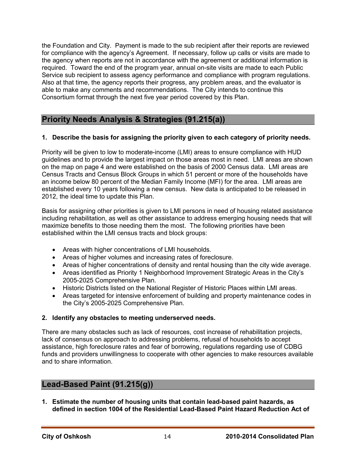the Foundation and City. Payment is made to the sub recipient after their reports are reviewed for compliance with the agency's Agreement. If necessary, follow up calls or visits are made to the agency when reports are not in accordance with the agreement or additional information is required. Toward the end of the program year, annual on-site visits are made to each Public Service sub recipient to assess agency performance and compliance with program regulations. Also at that time, the agency reports their progress, any problem areas, and the evaluator is able to make any comments and recommendations. The City intends to continue this Consortium format through the next five year period covered by this Plan.

## **Priority Needs Analysis & Strategies (91.215(a))**

#### **1. Describe the basis for assigning the priority given to each category of priority needs.**

Priority will be given to low to moderate-income (LMI) areas to ensure compliance with HUD guidelines and to provide the largest impact on those areas most in need. LMI areas are shown on the map on page 4 and were established on the basis of 2000 Census data. LMI areas are Census Tracts and Census Block Groups in which 51 percent or more of the households have an income below 80 percent of the Median Family Income (MFI) for the area. LMI areas are established every 10 years following a new census. New data is anticipated to be released in 2012, the ideal time to update this Plan.

Basis for assigning other priorities is given to LMI persons in need of housing related assistance including rehabilitation, as well as other assistance to address emerging housing needs that will maximize benefits to those needing them the most. The following priorities have been established within the LMI census tracts and block groups:

- Areas with higher concentrations of LMI households.
- Areas of higher volumes and increasing rates of foreclosure.
- Areas of higher concentrations of density and rental housing than the city wide average.
- Areas identified as Priority 1 Neighborhood Improvement Strategic Areas in the City's 2005-2025 Comprehensive Plan.
- Historic Districts listed on the National Register of Historic Places within LMI areas.
- Areas targeted for intensive enforcement of building and property maintenance codes in the City's 2005-2025 Comprehensive Plan.

#### **2. Identify any obstacles to meeting underserved needs.**

There are many obstacles such as lack of resources, cost increase of rehabilitation projects, lack of consensus on approach to addressing problems, refusal of households to accept assistance, high foreclosure rates and fear of borrowing, regulations regarding use of CDBG funds and providers unwillingness to cooperate with other agencies to make resources available and to share information.

## **Lead-Based Paint (91.215(g))**

**1. Estimate the number of housing units that contain lead-based paint hazards, as defined in section 1004 of the Residential Lead-Based Paint Hazard Reduction Act of**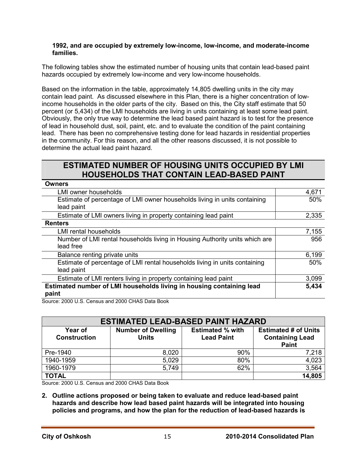#### **1992, and are occupied by extremely low-income, low-income, and moderate-income families.**

The following tables show the estimated number of housing units that contain lead-based paint hazards occupied by extremely low-income and very low-income households.

Based on the information in the table, approximately 14,805 dwelling units in the city may contain lead paint. As discussed elsewhere in this Plan, there is a higher concentration of lowincome households in the older parts of the city. Based on this, the City staff estimate that 50 percent (or 5,434) of the LMI households are living in units containing at least some lead paint. Obviously, the only true way to determine the lead based paint hazard is to test for the presence of lead in household dust, soil, paint, etc. and to evaluate the condition of the paint containing lead. There has been no comprehensive testing done for lead hazards in residential properties in the community. For this reason, and all the other reasons discussed, it is not possible to determine the actual lead paint hazard.

## **ESTIMATED NUMBER OF HOUSING UNITS OCCUPIED BY LMI HOUSEHOLDS THAT CONTAIN LEAD-BASED PAINT**

| <b>Owners</b>                                                                            |       |
|------------------------------------------------------------------------------------------|-------|
| LMI owner households                                                                     | 4,671 |
| Estimate of percentage of LMI owner households living in units containing<br>lead paint  | 50%   |
| Estimate of LMI owners living in property containing lead paint                          | 2,335 |
| <b>Renters</b>                                                                           |       |
|                                                                                          |       |
| <b>LMI rental households</b>                                                             | 7,155 |
| Number of LMI rental households living in Housing Authority units which are<br>lead free | 956   |
|                                                                                          |       |
| Balance renting private units                                                            | 6,199 |
| Estimate of percentage of LMI rental households living in units containing               | 50%   |
| lead paint                                                                               |       |
| Estimate of LMI renters living in property containing lead paint                         | 3,099 |
| Estimated number of LMI households living in housing containing lead                     | 5,434 |
| paint                                                                                    |       |
| $0.0000110$ $0.000110$ $0.000000$ $0.00000$                                              |       |

Source: 2000 U.S. Census and 2000 CHAS Data Book

| <b>ESTIMATED LEAD-BASED PAINT HAZARD</b> |                                           |                                              |                                                                       |  |  |
|------------------------------------------|-------------------------------------------|----------------------------------------------|-----------------------------------------------------------------------|--|--|
| Year of<br><b>Construction</b>           | <b>Number of Dwelling</b><br><b>Units</b> | <b>Estimated % with</b><br><b>Lead Paint</b> | <b>Estimated # of Units</b><br><b>Containing Lead</b><br><b>Paint</b> |  |  |
| Pre-1940                                 | 8,020                                     | 90%                                          | 7,218                                                                 |  |  |
| 1940-1959                                | 5,029                                     | 80%                                          | 4,023                                                                 |  |  |
| 1960-1979                                | 5,749                                     | 62%                                          | 3,564                                                                 |  |  |
| <b>TOTAL</b>                             |                                           |                                              | 14,805                                                                |  |  |

Source: 2000 U.S. Census and 2000 CHAS Data Book

**2. Outline actions proposed or being taken to evaluate and reduce lead-based paint hazards and describe how lead based paint hazards will be integrated into housing policies and programs, and how the plan for the reduction of lead-based hazards is**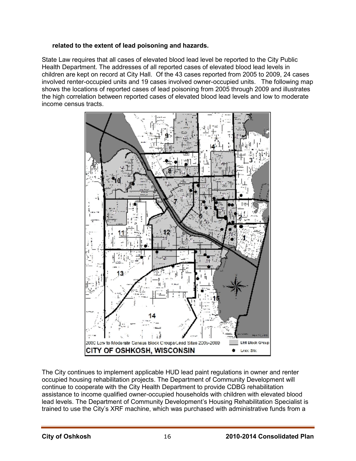#### **related to the extent of lead poisoning and hazards.**

State Law requires that all cases of elevated blood lead level be reported to the City Public Health Department. The addresses of all reported cases of elevated blood lead levels in children are kept on record at City Hall. Of the 43 cases reported from 2005 to 2009, 24 cases involved renter-occupied units and 19 cases involved owner-occupied units. The following map shows the locations of reported cases of lead poisoning from 2005 through 2009 and illustrates the high correlation between reported cases of elevated blood lead levels and low to moderate income census tracts.



The City continues to implement applicable HUD lead paint regulations in owner and renter occupied housing rehabilitation projects. The Department of Community Development will continue to cooperate with the City Health Department to provide CDBG rehabilitation assistance to income qualified owner-occupied households with children with elevated blood lead levels. The Department of Community Development's Housing Rehabilitation Specialist is trained to use the City's XRF machine, which was purchased with administrative funds from a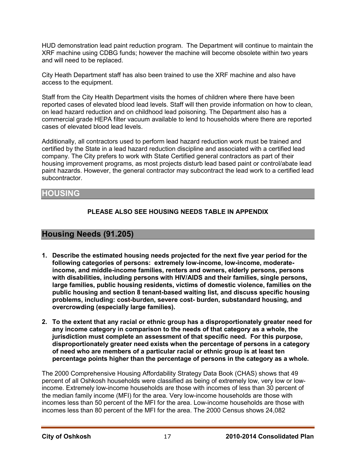HUD demonstration lead paint reduction program. The Department will continue to maintain the XRF machine using CDBG funds; however the machine will become obsolete within two years and will need to be replaced.

City Heath Department staff has also been trained to use the XRF machine and also have access to the equipment.

Staff from the City Health Department visits the homes of children where there have been reported cases of elevated blood lead levels. Staff will then provide information on how to clean, on lead hazard reduction and on childhood lead poisoning. The Department also has a commercial grade HEPA filter vacuum available to lend to households where there are reported cases of elevated blood lead levels.

Additionally, all contractors used to perform lead hazard reduction work must be trained and certified by the State in a lead hazard reduction discipline and associated with a certified lead company. The City prefers to work with State Certified general contractors as part of their housing improvement programs, as most projects disturb lead based paint or control/abate lead paint hazards. However, the general contractor may subcontract the lead work to a certified lead subcontractor.

## **HOUSING**

## **PLEASE ALSO SEE HOUSING NEEDS TABLE IN APPENDIX**

## **Housing Needs (91.205)**

- **1. Describe the estimated housing needs projected for the next five year period for the following categories of persons: extremely low-income, low-income, moderateincome, and middle-income families, renters and owners, elderly persons, persons with disabilities, including persons with HIV/AIDS and their families, single persons, large families, public housing residents, victims of domestic violence, families on the public housing and section 8 tenant-based waiting list, and discuss specific housing problems, including: cost-burden, severe cost- burden, substandard housing, and overcrowding (especially large families).**
- **2. To the extent that any racial or ethnic group has a disproportionately greater need for any income category in comparison to the needs of that category as a whole, the jurisdiction must complete an assessment of that specific need. For this purpose, disproportionately greater need exists when the percentage of persons in a category of need who are members of a particular racial or ethnic group is at least ten percentage points higher than the percentage of persons in the category as a whole.**

The 2000 Comprehensive Housing Affordability Strategy Data Book (CHAS) shows that 49 percent of all Oshkosh households were classified as being of extremely low, very low or lowincome. Extremely low-income households are those with incomes of less than 30 percent of the median family income (MFI) for the area. Very low-income households are those with incomes less than 50 percent of the MFI for the area. Low-income households are those with incomes less than 80 percent of the MFI for the area. The 2000 Census shows 24,082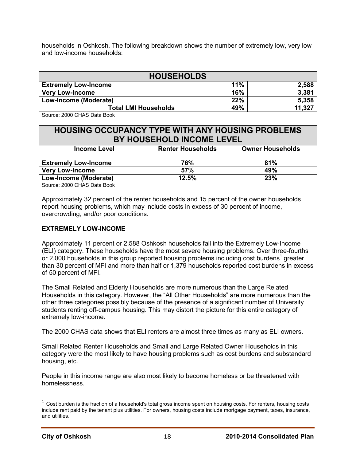households in Oshkosh. The following breakdown shows the number of extremely low, very low and low-income households:

| <b>HOUSEHOLDS</b>           |     |        |  |  |
|-----------------------------|-----|--------|--|--|
| <b>Extremely Low-Income</b> | 11% | 2,588  |  |  |
| <b>Very Low-Income</b>      | 16% | 3,381  |  |  |
| Low-Income (Moderate)       | 22% | 5,358  |  |  |
| <b>Total LMI Households</b> | 49% | 11,327 |  |  |

Source: 2000 CHAS Data Book

## **HOUSING OCCUPANCY TYPE WITH ANY HOUSING PROBLEMS BY HOUSEHOLD INCOME LEVEL**

| Income Level                | <b>Renter Households</b> | <b>Owner Households</b> |
|-----------------------------|--------------------------|-------------------------|
| <b>Extremely Low-Income</b> | 76%                      | 81%                     |
| <b>Very Low-Income</b>      | 57%                      | 49%                     |
| Low-Income (Moderate)       | 12.5%                    | 23%                     |

Source: 2000 CHAS Data Book

Approximately 32 percent of the renter households and 15 percent of the owner households report housing problems, which may include costs in excess of 30 percent of income, overcrowding, and/or poor conditions.

#### **EXTREMELY LOW-INCOME**

Approximately 11 percent or 2,588 Oshkosh households fall into the Extremely Low-Income (ELI) category. These households have the most severe housing problems. Over three-fourths or 2,000 households in this group reported housing problems including cost burdens<sup>1</sup> greater than 30 percent of MFI and more than half or 1,379 households reported cost burdens in excess of 50 percent of MFI.

The Small Related and Elderly Households are more numerous than the Large Related Households in this category. However, the "All Other Households" are more numerous than the other three categories possibly because of the presence of a significant number of University students renting off-campus housing. This may distort the picture for this entire category of extremely low-income.

The 2000 CHAS data shows that ELI renters are almost three times as many as ELI owners.

Small Related Renter Households and Small and Large Related Owner Households in this category were the most likely to have housing problems such as cost burdens and substandard housing, etc.

People in this income range are also most likely to become homeless or be threatened with homelessness.

 $\overline{a}$ 

 $1$  Cost burden is the fraction of a household's total gross income spent on housing costs. For renters, housing costs include rent paid by the tenant plus utilities. For owners, housing costs include mortgage payment, taxes, insurance, and utilities.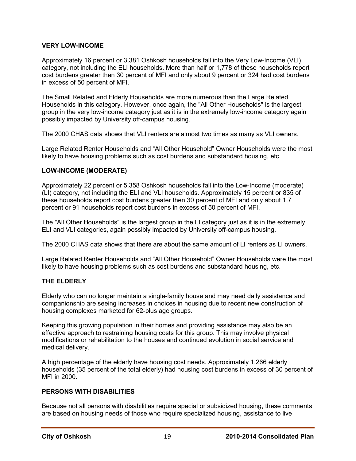#### **VERY LOW-INCOME**

Approximately 16 percent or 3,381 Oshkosh households fall into the Very Low-Income (VLI) category, not including the ELI households. More than half or 1,778 of these households report cost burdens greater then 30 percent of MFI and only about 9 percent or 324 had cost burdens in excess of 50 percent of MFI.

The Small Related and Elderly Households are more numerous than the Large Related Households in this category. However, once again, the "All Other Households" is the largest group in the very low-income category just as it is in the extremely low-income category again possibly impacted by University off-campus housing.

The 2000 CHAS data shows that VLI renters are almost two times as many as VLI owners.

Large Related Renter Households and "All Other Household" Owner Households were the most likely to have housing problems such as cost burdens and substandard housing, etc.

#### **LOW-INCOME (MODERATE)**

Approximately 22 percent or 5,358 Oshkosh households fall into the Low-Income (moderate) (LI) category, not including the ELI and VLI households. Approximately 15 percent or 835 of these households report cost burdens greater then 30 percent of MFI and only about 1.7 percent or 91 households report cost burdens in excess of 50 percent of MFI.

The "All Other Households" is the largest group in the LI category just as it is in the extremely ELI and VLI categories, again possibly impacted by University off-campus housing.

The 2000 CHAS data shows that there are about the same amount of LI renters as LI owners.

Large Related Renter Households and "All Other Household" Owner Households were the most likely to have housing problems such as cost burdens and substandard housing, etc.

#### **THE ELDERLY**

Elderly who can no longer maintain a single-family house and may need daily assistance and companionship are seeing increases in choices in housing due to recent new construction of housing complexes marketed for 62-plus age groups.

Keeping this growing population in their homes and providing assistance may also be an effective approach to restraining housing costs for this group. This may involve physical modifications or rehabilitation to the houses and continued evolution in social service and medical delivery.

A high percentage of the elderly have housing cost needs. Approximately 1,266 elderly households (35 percent of the total elderly) had housing cost burdens in excess of 30 percent of MFI in 2000.

#### **PERSONS WITH DISABILITIES**

Because not all persons with disabilities require special or subsidized housing, these comments are based on housing needs of those who require specialized housing, assistance to live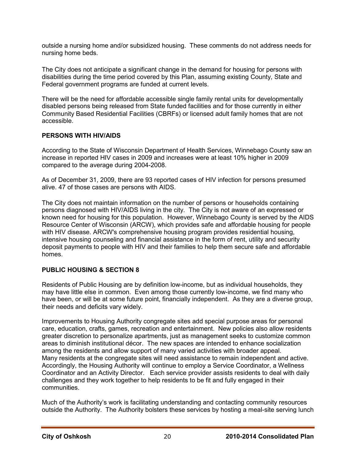outside a nursing home and/or subsidized housing. These comments do not address needs for nursing home beds.

The City does not anticipate a significant change in the demand for housing for persons with disabilities during the time period covered by this Plan, assuming existing County, State and Federal government programs are funded at current levels.

There will be the need for affordable accessible single family rental units for developmentally disabled persons being released from State funded facilities and for those currently in either Community Based Residential Facilities (CBRFs) or licensed adult family homes that are not accessible.

#### **PERSONS WITH HIV/AIDS**

According to the State of Wisconsin Department of Health Services, Winnebago County saw an increase in reported HIV cases in 2009 and increases were at least 10% higher in 2009 compared to the average during 2004-2008.

As of December 31, 2009, there are 93 reported cases of HIV infection for persons presumed alive. 47 of those cases are persons with AIDS.

The City does not maintain information on the number of persons or households containing persons diagnosed with HIV/AIDS living in the city. The City is not aware of an expressed or known need for housing for this population. However, Winnebago County is served by the AIDS Resource Center of Wisconsin (ARCW), which provides safe and affordable housing for people with HIV disease. ARCW's comprehensive housing program provides residential housing, intensive housing counseling and financial assistance in the form of rent, utility and security deposit payments to people with HIV and their families to help them secure safe and affordable homes.

#### **PUBLIC HOUSING & SECTION 8**

Residents of Public Housing are by definition low-income, but as individual households, they may have little else in common. Even among those currently low-income, we find many who have been, or will be at some future point, financially independent. As they are a diverse group, their needs and deficits vary widely.

Improvements to Housing Authority congregate sites add special purpose areas for personal care, education, crafts, games, recreation and entertainment. New policies also allow residents greater discretion to personalize apartments, just as management seeks to customize common areas to diminish institutional décor. The new spaces are intended to enhance socialization among the residents and allow support of many varied activities with broader appeal. Many residents at the congregate sites will need assistance to remain independent and active. Accordingly, the Housing Authority will continue to employ a Service Coordinator, a Wellness Coordinator and an Activity Director. Each service provider assists residents to deal with daily challenges and they work together to help residents to be fit and fully engaged in their communities.

Much of the Authority's work is facilitating understanding and contacting community resources outside the Authority. The Authority bolsters these services by hosting a meal-site serving lunch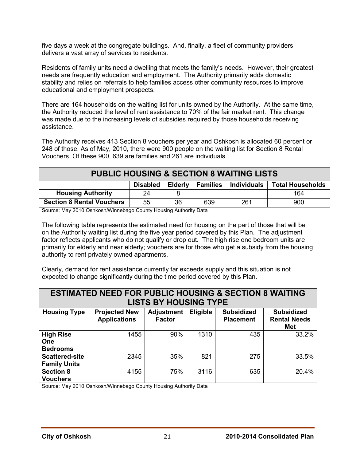five days a week at the congregate buildings. And, finally, a fleet of community providers delivers a vast array of services to residents.

Residents of family units need a dwelling that meets the family's needs. However, their greatest needs are frequently education and employment. The Authority primarily adds domestic stability and relies on referrals to help families access other community resources to improve educational and employment prospects.

There are 164 households on the waiting list for units owned by the Authority. At the same time, the Authority reduced the level of rent assistance to 70% of the fair market rent. This change was made due to the increasing levels of subsidies required by those households receiving assistance.

The Authority receives 413 Section 8 vouchers per year and Oshkosh is allocated 60 percent or 248 of those. As of May, 2010, there were 900 people on the waiting list for Section 8 Rental Vouchers. Of these 900, 639 are families and 261 are individuals.

| <b>PUBLIC HOUSING &amp; SECTION 8 WAITING LISTS</b>                                       |    |    |     |     |     |  |
|-------------------------------------------------------------------------------------------|----|----|-----|-----|-----|--|
| <b>Total Households</b><br>Individuals<br>Elderly  <br><b>Families</b><br><b>Disabled</b> |    |    |     |     |     |  |
| <b>Housing Authority</b><br>164<br>24                                                     |    |    |     |     |     |  |
| <b>Section 8 Rental Vouchers</b>                                                          | 55 | 36 | 639 | 261 | 900 |  |

Source: May 2010 Oshkosh/Winnebago County Housing Authority Data

The following table represents the estimated need for housing on the part of those that will be on the Authority waiting list during the five year period covered by this Plan. The adjustment factor reflects applicants who do not qualify or drop out. The high rise one bedroom units are primarily for elderly and near elderly; vouchers are for those who get a subsidy from the housing authority to rent privately owned apartments.

Clearly, demand for rent assistance currently far exceeds supply and this situation is not expected to change significantly during the time period covered by this Plan.

| <b>ESTIMATED NEED FOR PUBLIC HOUSING &amp; SECTION 8 WAITING</b><br><b>LISTS BY HOUSING TYPE</b> |                                             |                                    |                 |                                       |                                                 |  |
|--------------------------------------------------------------------------------------------------|---------------------------------------------|------------------------------------|-----------------|---------------------------------------|-------------------------------------------------|--|
| <b>Housing Type</b>                                                                              | <b>Projected New</b><br><b>Applications</b> | <b>Adjustment</b><br><b>Factor</b> | <b>Eligible</b> | <b>Subsidized</b><br><b>Placement</b> | <b>Subsidized</b><br><b>Rental Needs</b><br>Met |  |
| <b>High Rise</b><br>One<br><b>Bedrooms</b>                                                       | 1455                                        | 90%                                | 1310            | 435                                   | 33.2%                                           |  |
| <b>Scattered-site</b><br><b>Family Units</b>                                                     | 2345                                        | 35%                                | 821             | 275                                   | 33.5%                                           |  |
| <b>Section 8</b><br><b>Vouchers</b>                                                              | 4155                                        | 75%                                | 3116            | 635                                   | 20.4%                                           |  |

Source: May 2010 Oshkosh/Winnebago County Housing Authority Data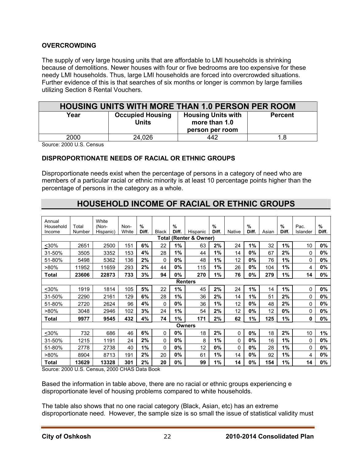#### **OVERCROWDING**

The supply of very large housing units that are affordable to LMI households is shrinking because of demolitions. Newer houses with four or five bedrooms are too expensive for these needy LMI households. Thus, large LMI households are forced into overcrowded situations. Further evidence of this is that searches of six months or longer is common by large families utilizing Section 8 Rental Vouchers.

| <b>HOUSING UNITS WITH MORE THAN 1.0 PERSON PER ROOM</b> |                                         |                                                               |                |  |  |
|---------------------------------------------------------|-----------------------------------------|---------------------------------------------------------------|----------------|--|--|
| Year                                                    | <b>Occupied Housing</b><br><b>Units</b> | <b>Housing Units with</b><br>more than 1.0<br>person per room | <b>Percent</b> |  |  |
| 2000                                                    | 24,026                                  | 442                                                           | 1.8            |  |  |

Source: 2000 U.S. Census

#### **DISPROPORTIONATE NEEDS OF RACIAL OR ETHNIC GROUPS**

Disproportionate needs exist when the percentage of persons in a category of need who are members of a particular racial or ethnic minority is at least 10 percentage points higher than the percentage of persons in the category as a whole.

## **HOUSEHOLD INCOME OF RACIAL OR ETHNIC GROUPS**

| Annual<br>Household | Total                     | White<br>(Non- | Non-  | %     |          | %     |                | $\frac{9}{6}$ |        | $\frac{9}{6}$ |       | $\frac{9}{6}$ | Pac.     | $\frac{9}{6}$ |
|---------------------|---------------------------|----------------|-------|-------|----------|-------|----------------|---------------|--------|---------------|-------|---------------|----------|---------------|
| Income              | Number                    | Hispanic)      | White | Diff. | Black    | Diff. | Hispanic       | Diff.         | Native | Diff.         | Asian | Diff.         | Islander | Diff.         |
|                     | (Renter & Owner)<br>Total |                |       |       |          |       |                |               |        |               |       |               |          |               |
| $30%$               | 2651                      | 2500           | 151   | 6%    | 22       | 1%    | 63             | 2%            | 24     | 1%            | 32    | 1%            | 10       | $0\%$         |
| 31-50%              | 3505                      | 3352           | 153   | 4%    | 28       | 1%    | 44             | 1%            | 14     | 0%            | 67    | 2%            | 0        | 0%            |
| 51-80%              | 5498                      | 5362           | 136   | 2%    | 0        | 0%    | 48             | 1%            | 12     | 0%            | 76    | 1%            | 0        | 0%            |
| $>80\%$             | 11952                     | 11659          | 293   | 2%    | 44       | 0%    | 115            | 1%            | 26     | 0%            | 104   | 1%            | 4        | 0%            |
| Total               | 23606                     | 22873          | 733   | 3%    | 94       | 0%    | 270            | 1%            | 76     | 0%            | 279   | 1%            | 14       | $0\%$         |
|                     |                           |                |       |       |          |       | <b>Renters</b> |               |        |               |       |               |          |               |
| $30%$               | 1919                      | 1814           | 105   | 5%    | 22       | 1%    | 45             | 2%            | 24     | 1%            | 14    | 1%            | 0        | $0\%$         |
| 31-50%              | 2290                      | 2161           | 129   | 6%    | 28       | 1%    | 36             | 2%            | 14     | 1%            | 51    | 2%            | 0        | $0\%$         |
| 51-80%              | 2720                      | 2624           | 96    | 4%    | $\Omega$ | 0%    | 36             | 1%            | 12     | 0%            | 48    | 2%            | 0        | 0%            |
| $>80\%$             | 3048                      | 2946           | 102   | 3%    | 24       | 1%    | 54             | 2%            | 12     | 0%            | 12    | 0%            | $\Omega$ | 0%            |
| Total               | 9977                      | 9545           | 432   | 4%    | 74       | 1%    | 171            | 2%            | 62     | 1%            | 125   | 1%            | 0        | 0%            |
|                     |                           |                |       |       |          |       | <b>Owners</b>  |               |        |               |       |               |          |               |
| $30%$               | 732                       | 686            | 46    | 6%    | 0        | 0%    | 18             | 2%            | 0      | 0%            | 18    | 2%            | 10       | $1\%$         |
| 31-50%              | 1215                      | 1191           | 24    | 2%    | 0        | 0%    | 8              | 1%            | 0      | 0%            | 16    | 1%            | 0        | 0%            |
| 51-80%              | 2778                      | 2738           | 40    | 1%    | 0        | 0%    | 12             | 0%            | 0      | 0%            | 28    | 1%            | 0        | 0%            |
| $>80\%$             | 8904                      | 8713           | 191   | 2%    | 20       | 0%    | 61             | 1%            | 14     | 0%            | 92    | 1%            | 4        | 0%            |
| Total               | 13629                     | 13328          | 301   | 2%    | 20       | 0%    | 99             | 1%            | 14     | 0%            | 154   | 1%            | 14       | 0%            |

Source: 2000 U.S. Census, 2000 CHAS Data Book

Based the information in table above, there are no racial or ethnic groups experiencing e disproportionate level of housing problems compared to white households.

The table also shows that no one racial category (Black, Asian, etc) has an extreme disproportionate need. However, the sample size is so small the issue of statistical validity must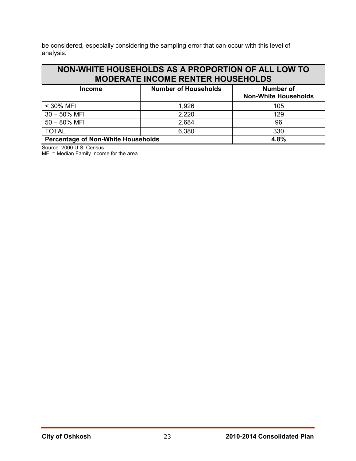be considered, especially considering the sampling error that can occur with this level of analysis.

## **NON-WHITE HOUSEHOLDS AS A PROPORTION OF ALL LOW TO MODERATE INCOME RENTER HOUSEHOLDS**

| <b>Income</b>                             | <b>Number of Households</b> | Number of<br><b>Non-White Households</b> |
|-------------------------------------------|-----------------------------|------------------------------------------|
| $<$ 30% MFI                               | 1,926                       | 105                                      |
| $30 - 50\%$ MFI                           | 2,220                       | 129                                      |
| $50 - 80\%$ MFI                           | 2,684                       | 96                                       |
| <b>TOTAL</b>                              | 6,380                       | 330                                      |
| <b>Percentage of Non-White Households</b> | 4.8%                        |                                          |

Source: 2000 U.S. Census

MFI = Median Family Income for the area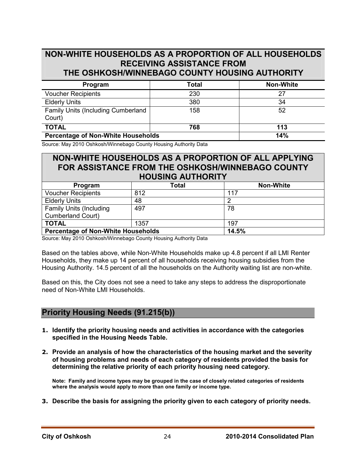## **NON-WHITE HOUSEHOLDS AS A PROPORTION OF ALL HOUSEHOLDS RECEIVING ASSISTANCE FROM THE OSHKOSH/WINNEBAGO COUNTY HOUSING AUTHORITY**

| Program                                             | <b>Total</b> | <b>Non-White</b> |
|-----------------------------------------------------|--------------|------------------|
| <b>Voucher Recipients</b>                           | 230          | 27               |
| <b>Elderly Units</b>                                | 380          | 34               |
| <b>Family Units (Including Cumberland</b><br>Court) | 158          | 52               |
| <b>TOTAL</b>                                        | 768          | 113              |
| <b>Percentage of Non-White Households</b>           | 14%          |                  |

Source: May 2010 Oshkosh/Winnebago County Housing Authority Data

## **NON-WHITE HOUSEHOLDS AS A PROPORTION OF ALL APPLYING FOR ASSISTANCE FROM THE OSHKOSH/WINNEBAGO COUNTY HOUSING AUTHORITY**

| Program                                   | Total | <b>Non-White</b> |  |  |  |
|-------------------------------------------|-------|------------------|--|--|--|
| <b>Voucher Recipients</b>                 | 812   | 117              |  |  |  |
| <b>Elderly Units</b>                      | 48    |                  |  |  |  |
| <b>Family Units (Including</b>            | 497   | 78               |  |  |  |
| <b>Cumberland Court)</b>                  |       |                  |  |  |  |
| <b>TOTAL</b>                              | 1357  | 197              |  |  |  |
| <b>Percentage of Non-White Households</b> |       | 14.5%            |  |  |  |

Source: May 2010 Oshkosh/Winnebago County Housing Authority Data

Based on the tables above, while Non-White Households make up 4.8 percent if all LMI Renter Households, they make up 14 percent of all households receiving housing subsidies from the Housing Authority. 14.5 percent of all the households on the Authority waiting list are non-white.

Based on this, the City does not see a need to take any steps to address the disproportionate need of Non-White LMI Households.

## **Priority Housing Needs (91.215(b))**

- **1. Identify the priority housing needs and activities in accordance with the categories specified in the Housing Needs Table.**
- **2. Provide an analysis of how the characteristics of the housing market and the severity of housing problems and needs of each category of residents provided the basis for determining the relative priority of each priority housing need category.**

**Note: Family and income types may be grouped in the case of closely related categories of residents where the analysis would apply to more than one family or income type.** 

**3. Describe the basis for assigning the priority given to each category of priority needs.**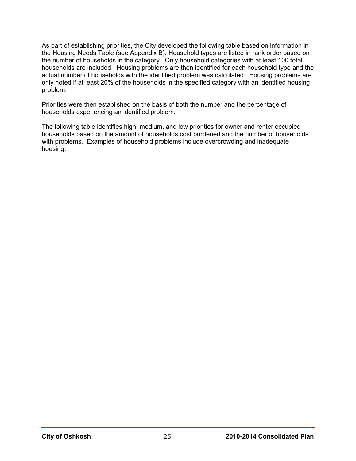As part of establishing priorities, the City developed the following table based on information in the Housing Needs Table (see Appendix B). Household types are listed in rank order based on the number of households in the category. Only household categories with at least 100 total households are included. Housing problems are then identified for each household type and the actual number of households with the identified problem was calculated. Housing problems are only noted if at least 20% of the households in the specified category with an identified housing problem.

Priorities were then established on the basis of both the number and the percentage of households experiencing an identified problem.

The following table identifies high, medium, and low priorities for owner and renter occupied households based on the amount of households cost burdened and the number of households with problems. Examples of household problems include overcrowding and inadequate housing.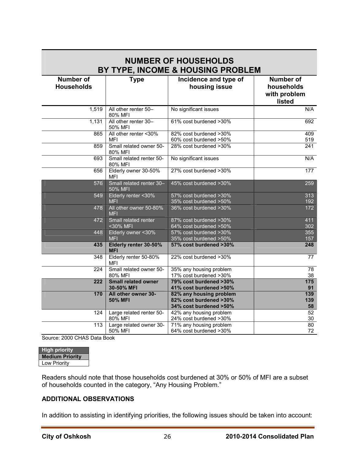| <b>NUMBER OF HOUSEHOLDS</b><br>BY TYPE, INCOME & HOUSING PROBLEM |                                          |                                                                             |                                                          |  |
|------------------------------------------------------------------|------------------------------------------|-----------------------------------------------------------------------------|----------------------------------------------------------|--|
| <b>Number of</b><br><b>Households</b>                            | <b>Type</b>                              | Incidence and type of<br>housing issue                                      | <b>Number of</b><br>households<br>with problem<br>listed |  |
| 1,519                                                            | All other renter 50-<br>80% MFI          | No significant issues                                                       | N/A                                                      |  |
| 1,131                                                            | All other renter 30-<br>50% MFI          | 61% cost burdened >30%                                                      | 692                                                      |  |
| 865                                                              | All other renter <30%<br><b>MFI</b>      | 82% cost burdened >30%<br>60% cost burdened >50%                            | 409<br>519                                               |  |
| 859                                                              | Small related owner 50-<br>80% MFI       | 28% cost burdened >30%                                                      | $\overline{241}$                                         |  |
| 693                                                              | Small related renter 50-<br>80% MFI      | No significant issues                                                       | N/A                                                      |  |
| 656                                                              | Elderly owner 30-50%<br><b>MFI</b>       | 27% cost burdened >30%                                                      | 177                                                      |  |
| 576                                                              | Small related renter 30-<br>50% MFI      | 45% cost burdened >30%                                                      | 259                                                      |  |
| 549                                                              | Elderly renter < 30%<br><b>MFI</b>       | 57% cost burdened >30%<br>35% cost burdened >50%                            | 313<br>192                                               |  |
| 478                                                              | All other owner 50-80%<br><b>MFI</b>     | 36% cost burdened >30%                                                      | 172                                                      |  |
| 472                                                              | Small related renter<br><30% MFI         | 87% cost burdened >30%<br>64% cost burdened >50%                            | 411<br>302                                               |  |
| 448                                                              | Elderly owner <30%<br><b>MFI</b>         | 57% cost burdened >30%<br>35% cost burdened >50%                            | 355<br>157                                               |  |
| 435                                                              | Elderly renter 30-50%<br><b>MFI</b>      | 57% cost burdened >30%                                                      | 248                                                      |  |
| 348                                                              | Elderly renter 50-80%<br>MFI             | 22% cost burdened >30%                                                      | 77                                                       |  |
| 224                                                              | Small related owner 50-<br>80% MFI       | 35% any housing problem<br>17% cost burdened >30%                           | $\overline{78}$<br>38                                    |  |
| 222                                                              | <b>Small related owner</b><br>30-50% MFI | 79% cost burdened >30%<br>41% cost burdened >50%                            | 175<br>91                                                |  |
| 170                                                              | All other owner 30-<br><b>50% MFI</b>    | 82% any housing problem<br>82% cost burdened >30%<br>34% cost burdened >50% | 139<br>139<br>58                                         |  |
| 124                                                              | Large related renter 50-<br>80% MFI      | 42% any housing problem<br>24% cost burdened >30%                           | 52<br>$30\,$                                             |  |
| 113                                                              | Large related owner 30-<br>50% MFI       | 71% any housing problem<br>64% cost burdened >30%                           | 80<br>72                                                 |  |

# **NUMBER OF HOUSEHOLDS**

Source: 2000 CHAS Data Book

| <b>High priority</b>   |
|------------------------|
| <b>Medium Priority</b> |
| Low Priority           |

Readers should note that those households cost burdened at 30% or 50% of MFI are a subset of households counted in the category, "Any Housing Problem."

#### **ADDITIONAL OBSERVATIONS**

In addition to assisting in identifying priorities, the following issues should be taken into account: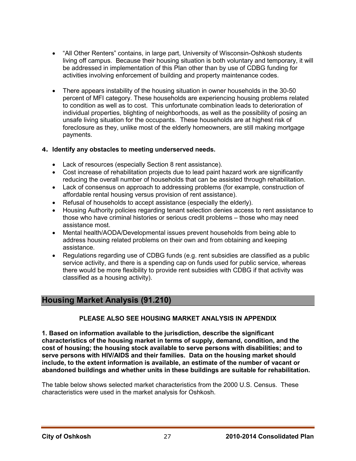- "All Other Renters" contains, in large part, University of Wisconsin-Oshkosh students living off campus. Because their housing situation is both voluntary and temporary, it will be addressed in implementation of this Plan other than by use of CDBG funding for activities involving enforcement of building and property maintenance codes.
- There appears instability of the housing situation in owner households in the 30-50 percent of MFI category. These households are experiencing housing problems related to condition as well as to cost. This unfortunate combination leads to deterioration of individual properties, blighting of neighborhoods, as well as the possibility of posing an unsafe living situation for the occupants. These households are at highest risk of foreclosure as they, unlike most of the elderly homeowners, are still making mortgage payments.

#### **4. Identify any obstacles to meeting underserved needs.**

- Lack of resources (especially Section 8 rent assistance).
- Cost increase of rehabilitation projects due to lead paint hazard work are significantly reducing the overall number of households that can be assisted through rehabilitation.
- Lack of consensus on approach to addressing problems (for example, construction of affordable rental housing versus provision of rent assistance).
- Refusal of households to accept assistance (especially the elderly).
- Housing Authority policies regarding tenant selection denies access to rent assistance to those who have criminal histories or serious credit problems – those who may need assistance most.
- Mental health/AODA/Developmental issues prevent households from being able to address housing related problems on their own and from obtaining and keeping assistance.
- Regulations regarding use of CDBG funds (e.g. rent subsidies are classified as a public service activity, and there is a spending cap on funds used for public service, whereas there would be more flexibility to provide rent subsidies with CDBG if that activity was classified as a housing activity).

## **Housing Market Analysis (91.210)**

#### **PLEASE ALSO SEE HOUSING MARKET ANALYSIS IN APPENDIX**

**1. Based on information available to the jurisdiction, describe the significant characteristics of the housing market in terms of supply, demand, condition, and the cost of housing; the housing stock available to serve persons with disabilities; and to serve persons with HIV/AIDS and their families. Data on the housing market should include, to the extent information is available, an estimate of the number of vacant or abandoned buildings and whether units in these buildings are suitable for rehabilitation.** 

The table below shows selected market characteristics from the 2000 U.S. Census. These characteristics were used in the market analysis for Oshkosh.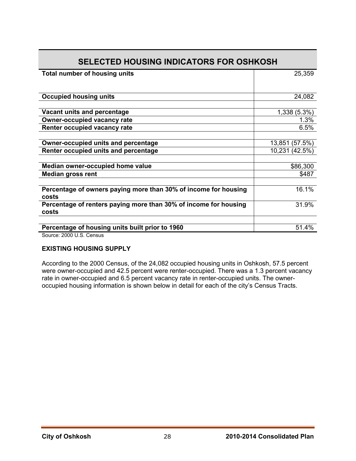| Total number of housing units                                    | 25,359         |
|------------------------------------------------------------------|----------------|
|                                                                  |                |
|                                                                  |                |
| <b>Occupied housing units</b>                                    | 24,082         |
|                                                                  |                |
| Vacant units and percentage                                      | 1,338 (5.3%)   |
| <b>Owner-occupied vacancy rate</b>                               | 1.3%           |
| Renter occupied vacancy rate                                     | 6.5%           |
|                                                                  |                |
| <b>Owner-occupied units and percentage</b>                       | 13,851 (57.5%) |
| Renter occupied units and percentage                             | 10,231 (42.5%) |
|                                                                  |                |
| Median owner-occupied home value                                 | \$86,300       |
| <b>Median gross rent</b>                                         | \$487          |
|                                                                  |                |
| Percentage of owners paying more than 30% of income for housing  | 16.1%          |
| costs                                                            |                |
| Percentage of renters paying more than 30% of income for housing | 31.9%          |
| costs                                                            |                |
|                                                                  |                |
| Percentage of housing units built prior to 1960                  | 51.4%          |

Source: 2000 U.S. Census

#### **EXISTING HOUSING SUPPLY**

According to the 2000 Census, of the 24,082 occupied housing units in Oshkosh, 57.5 percent were owner-occupied and 42.5 percent were renter-occupied. There was a 1.3 percent vacancy rate in owner-occupied and 6.5 percent vacancy rate in renter-occupied units. The owneroccupied housing information is shown below in detail for each of the city's Census Tracts.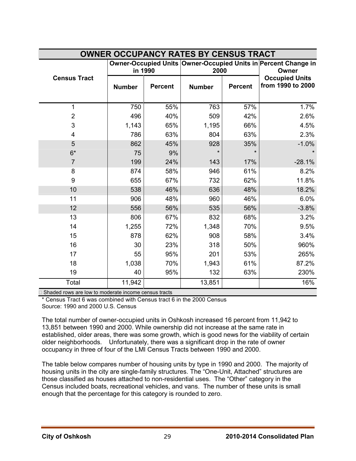| <b>OWNER OCCUPANCY RATES BY CENSUS TRACT</b>                |               |                                                                                   |               |                |                                            |  |
|-------------------------------------------------------------|---------------|-----------------------------------------------------------------------------------|---------------|----------------|--------------------------------------------|--|
|                                                             |               | Owner-Occupied Units Owner-Occupied Units in Percent Change in<br>in 1990<br>2000 |               |                | Owner                                      |  |
| <b>Census Tract</b>                                         | <b>Number</b> | <b>Percent</b>                                                                    | <b>Number</b> | <b>Percent</b> | <b>Occupied Units</b><br>from 1990 to 2000 |  |
| 1                                                           | 750           | 55%                                                                               | 763           | 57%            | 1.7%                                       |  |
| $\overline{2}$                                              | 496           | 40%                                                                               | 509           | 42%            | 2.6%                                       |  |
| 3                                                           | 1,143         | 65%                                                                               | 1,195         | 66%            | 4.5%                                       |  |
| 4                                                           | 786           | 63%                                                                               | 804           | 63%            | 2.3%                                       |  |
| 5                                                           | 862           | 45%                                                                               | 928           | 35%            | $-1.0%$                                    |  |
| $6*$                                                        | 75            | 9%                                                                                |               |                |                                            |  |
| $\overline{7}$                                              | 199           | 24%                                                                               | 143           | 17%            | $-28.1%$                                   |  |
| 8                                                           | 874           | 58%                                                                               | 946           | 61%            | 8.2%                                       |  |
| 9                                                           | 655           | 67%                                                                               | 732           | 62%            | 11.8%                                      |  |
| 10                                                          | 538           | 46%                                                                               | 636           | 48%            | 18.2%                                      |  |
| 11                                                          | 906           | 48%                                                                               | 960           | 46%            | 6.0%                                       |  |
| 12                                                          | 556           | 56%                                                                               | 535           | 56%            | $-3.8%$                                    |  |
| 13                                                          | 806           | 67%                                                                               | 832           | 68%            | 3.2%                                       |  |
| 14                                                          | 1,255         | 72%                                                                               | 1,348         | 70%            | 9.5%                                       |  |
| 15                                                          | 878           | 62%                                                                               | 908           | 58%            | 3.4%                                       |  |
| 16                                                          | 30            | 23%                                                                               | 318           | 50%            | 960%                                       |  |
| 17                                                          | 55            | 95%                                                                               | 201           | 53%            | 265%                                       |  |
| 18                                                          | 1,038         | 70%                                                                               | 1,943         | 61%            | 87.2%                                      |  |
| 19                                                          | 40            | 95%                                                                               | 132           | 63%            | 230%                                       |  |
| Total                                                       | 11,942        |                                                                                   | 13,851        |                | 16%                                        |  |
| $\Box$ Shaded rows are low to moderate income census tracts |               |                                                                                   |               |                |                                            |  |

□ Shaded rows are low to moderate income census tracts

\* Census Tract 6 was combined with Census tract 6 in the 2000 Census Source: 1990 and 2000 U.S. Census

The total number of owner-occupied units in Oshkosh increased 16 percent from 11,942 to 13,851 between 1990 and 2000. While ownership did not increase at the same rate in established, older areas, there was some growth, which is good news for the viability of certain older neighborhoods. Unfortunately, there was a significant drop in the rate of owner occupancy in three of four of the LMI Census Tracts between 1990 and 2000.

The table below compares number of housing units by type in 1990 and 2000. The majority of housing units in the city are single-family structures. The "One-Unit, Attached" structures are those classified as houses attached to non-residential uses. The "Other" category in the Census included boats, recreational vehicles, and vans. The number of these units is small enough that the percentage for this category is rounded to zero.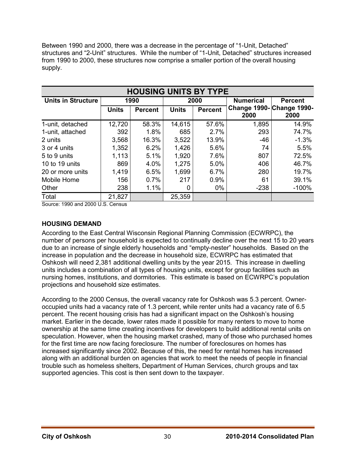Between 1990 and 2000, there was a decrease in the percentage of "1-Unit, Detached" structures and "2-Unit" structures. While the number of "1-Unit, Detached" structures increased from 1990 to 2000, these structures now comprise a smaller portion of the overall housing supply.

| <b>HOUSING UNITS BY TYPE</b> |              |                |              |                |                                         |                |
|------------------------------|--------------|----------------|--------------|----------------|-----------------------------------------|----------------|
| <b>Units in Structure</b>    |              | 1990           |              | 2000           | <b>Numerical</b>                        | <b>Percent</b> |
|                              | <b>Units</b> | <b>Percent</b> | <b>Units</b> | <b>Percent</b> | <b>Change 1990-Change 1990-</b><br>2000 | 2000           |
| 1-unit, detached             | 12,720       | 58.3%          | 14,615       | 57.6%          | 1,895                                   | 14.9%          |
| 1-unit, attached             | 392          | 1.8%           | 685          | 2.7%           | 293                                     | 74.7%          |
| 2 units                      | 3,568        | 16.3%          | 3,522        | 13.9%          | $-46$                                   | $-1.3%$        |
| 3 or 4 units                 | 1,352        | 6.2%           | 1,426        | 5.6%           | 74                                      | 5.5%           |
| 5 to 9 units                 | 1,113        | 5.1%           | 1,920        | 7.6%           | 807                                     | 72.5%          |
| 10 to 19 units               | 869          | 4.0%           | 1,275        | 5.0%           | 406                                     | 46.7%          |
| 20 or more units             | 1,419        | 6.5%           | 1,699        | 6.7%           | 280                                     | 19.7%          |
| Mobile Home                  | 156          | 0.7%           | 217          | 0.9%           | 61                                      | 39.1%          |
| Other                        | 238          | 1.1%           | 0            | $0\%$          | $-238$                                  | $-100%$        |
| Total                        | 21,827       |                | 25,359       |                |                                         |                |

Source: 1990 and 2000 U.S. Census

#### **HOUSING DEMAND**

According to the East Central Wisconsin Regional Planning Commission (ECWRPC), the number of persons per household is expected to continually decline over the next 15 to 20 years due to an increase of single elderly households and "empty-nester" households. Based on the increase in population and the decrease in household size, ECWRPC has estimated that Oshkosh will need 2,381 additional dwelling units by the year 2015. This increase in dwelling units includes a combination of all types of housing units, except for group facilities such as nursing homes, institutions, and dormitories. This estimate is based on ECWRPC's population projections and household size estimates.

According to the 2000 Census, the overall vacancy rate for Oshkosh was 5.3 percent. Owneroccupied units had a vacancy rate of 1.3 percent, while renter units had a vacancy rate of 6.5 percent. The recent housing crisis has had a significant impact on the Oshkosh's housing market. Earlier in the decade, lower rates made it possible for many renters to move to home ownership at the same time creating incentives for developers to build additional rental units on speculation. However, when the housing market crashed, many of those who purchased homes for the first time are now facing foreclosure. The number of foreclosures on homes has increased significantly since 2002. Because of this, the need for rental homes has increased along with an additional burden on agencies that work to meet the needs of people in financial trouble such as homeless shelters, Department of Human Services, church groups and tax supported agencies. This cost is then sent down to the taxpayer.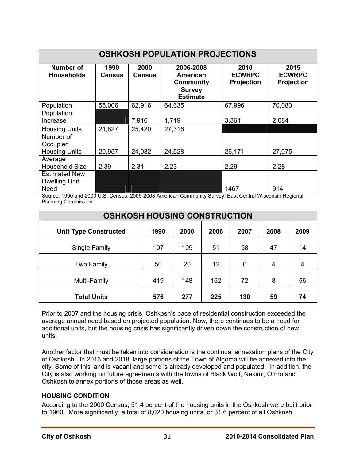| <b>OSHKOSH POPULATION PROJECTIONS</b>                       |                       |                       |                                                                                      |                                            |                                            |
|-------------------------------------------------------------|-----------------------|-----------------------|--------------------------------------------------------------------------------------|--------------------------------------------|--------------------------------------------|
| <b>Number of</b><br><b>Households</b>                       | 1990<br><b>Census</b> | 2000<br><b>Census</b> | 2006-2008<br><b>American</b><br><b>Community</b><br><b>Survey</b><br><b>Estimate</b> | 2010<br><b>ECWRPC</b><br><b>Projection</b> | 2015<br><b>ECWRPC</b><br><b>Projection</b> |
| Population                                                  | 55,006                | 62,916                | 64,635                                                                               | 67,996                                     | 70,080                                     |
| Population<br>Increase                                      |                       | 7,916                 | 1,719                                                                                | 3,361                                      | 2,084                                      |
| <b>Housing Units</b>                                        | 21,827                | 25,420                | 27,316                                                                               |                                            |                                            |
| Number of<br>Occupied<br><b>Housing Units</b>               | 20,957                | 24,082                | 24,528                                                                               | 26,171                                     | 27,075                                     |
| Average<br><b>Household Size</b>                            | 2.39                  | 2.31                  | 2.23                                                                                 | 2.29                                       | 2.28                                       |
| <b>Estimated New</b><br><b>Dwelling Unit</b><br><b>Need</b> |                       |                       |                                                                                      | 1467                                       | 914                                        |

Source: 1990 and 2000 U.S. Census, 2006-2008 American Community Survey, East Central Wisconsin Regional Planning Commission

| <b>OSHKOSH HOUSING CONSTRUCTION</b> |      |      |      |                |      |      |
|-------------------------------------|------|------|------|----------------|------|------|
| <b>Unit Type Constructed</b>        | 1990 | 2000 | 2006 | 2007           | 2008 | 2009 |
| Single Family                       | 107  | 109  | 51   | 58             | 47   | 14   |
| Two Family                          | 50   | 20   | 12   | $\overline{0}$ | 4    | 4    |
| Multi-Family                        | 419  | 148  | 162  | 72             | 8    | 56   |
| <b>Total Units</b>                  | 576  | 277  | 225  | 130            | 59   | 74   |

Prior to 2007 and the housing crisis, Oshkosh's pace of residential construction exceeded the average annual need based on projected population. Now, there continues to be a need for additional units, but the housing crisis has significantly driven down the construction of new units.

Another factor that must be taken into consideration is the continual annexation plans of the City of Oshkosh. In 2013 and 2018, large portions of the Town of Algoma will be annexed into the city. Some of this land is vacant and some is already developed and populated. In addition, the City is also working on future agreements with the towns of Black Wolf, Nekimi, Omro and Oshkosh to annex portions of those areas as well.

#### **HOUSING CONDITION**

According to the 2000 Census, 51.4 percent of the housing units in the Oshkosh were built prior to 1960. More significantly, a total of 8,020 housing units, or 31.6 percent of all Oshkosh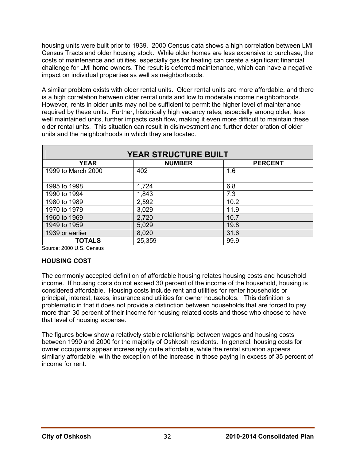housing units were built prior to 1939. 2000 Census data shows a high correlation between LMI Census Tracts and older housing stock. While older homes are less expensive to purchase, the costs of maintenance and utilities, especially gas for heating can create a significant financial challenge for LMI home owners. The result is deferred maintenance, which can have a negative impact on individual properties as well as neighborhoods.

A similar problem exists with older rental units. Older rental units are more affordable, and there is a high correlation between older rental units and low to moderate income neighborhoods. However, rents in older units may not be sufficient to permit the higher level of maintenance required by these units. Further, historically high vacancy rates, especially among older, less well maintained units, further impacts cash flow, making it even more difficult to maintain these older rental units. This situation can result in disinvestment and further deterioration of older units and the neighborhoods in which they are located.

| <b>YEAR STRUCTURE BUILT</b>                    |        |      |  |  |  |
|------------------------------------------------|--------|------|--|--|--|
| <b>YEAR</b><br><b>NUMBER</b><br><b>PERCENT</b> |        |      |  |  |  |
| 1999 to March 2000                             | 402    | 1.6  |  |  |  |
| 1995 to 1998                                   | 1,724  | 6.8  |  |  |  |
| 1990 to 1994                                   | 1,843  | 7.3  |  |  |  |
| 1980 to 1989                                   | 2,592  | 10.2 |  |  |  |
| 1970 to 1979                                   | 3,029  | 11.9 |  |  |  |
| 1960 to 1969                                   | 2,720  | 10.7 |  |  |  |
| 1949 to 1959                                   | 5,029  | 19.8 |  |  |  |
| 1939 or earlier                                | 8,020  | 31.6 |  |  |  |
| TOTALS                                         | 25,359 | 99.9 |  |  |  |

Source: 2000 U.S. Census

#### **HOUSING COST**

The commonly accepted definition of affordable housing relates housing costs and household income. If housing costs do not exceed 30 percent of the income of the household, housing is considered affordable. Housing costs include rent and utilities for renter households or principal, interest, taxes, insurance and utilities for owner households. This definition is problematic in that it does not provide a distinction between households that are forced to pay more than 30 percent of their income for housing related costs and those who choose to have that level of housing expense.

The figures below show a relatively stable relationship between wages and housing costs between 1990 and 2000 for the majority of Oshkosh residents. In general, housing costs for owner occupants appear increasingly quite affordable, while the rental situation appears similarly affordable, with the exception of the increase in those paying in excess of 35 percent of income for rent.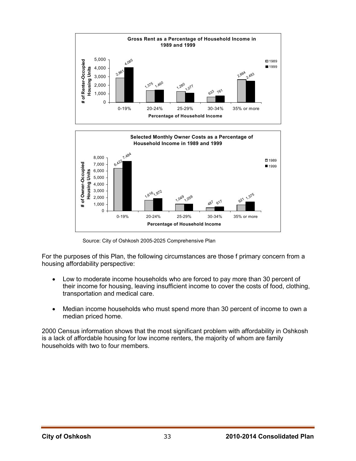

Source: City of Oshkosh 2005-2025 Comprehensive Plan

For the purposes of this Plan, the following circumstances are those f primary concern from a housing affordability perspective:

- Low to moderate income households who are forced to pay more than 30 percent of their income for housing, leaving insufficient income to cover the costs of food, clothing, transportation and medical care.
- Median income households who must spend more than 30 percent of income to own a median priced home.

2000 Census information shows that the most significant problem with affordability in Oshkosh is a lack of affordable housing for low income renters, the majority of whom are family households with two to four members.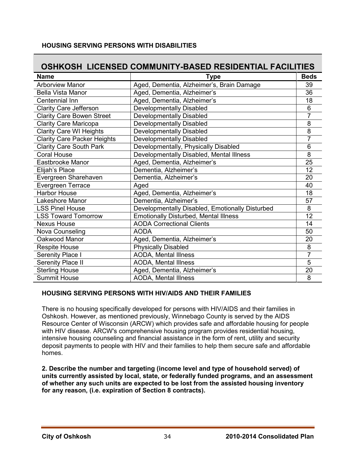#### **HOUSING SERVING PERSONS WITH DISABILITIES**

## **OSHKOSH LICENSED COMMUNITY-BASED RESIDENTIAL FACILITIES**

| <b>Name</b>                        | <b>Type</b>                                     | <b>Beds</b> |
|------------------------------------|-------------------------------------------------|-------------|
| <b>Arborview Manor</b>             | Aged, Dementia, Alzheimer's, Brain Damage       | 39          |
| <b>Bella Vista Manor</b>           | Aged, Dementia, Alzheimer's                     | 36          |
| Centennial Inn                     | Aged, Dementia, Alzheimer's                     | 18          |
| <b>Clarity Care Jefferson</b>      | <b>Developmentally Disabled</b>                 | 6           |
| <b>Clarity Care Bowen Street</b>   | <b>Developmentally Disabled</b>                 |             |
| <b>Clarity Care Maricopa</b>       | <b>Developmentally Disabled</b>                 | 8           |
| <b>Clarity Care WI Heights</b>     | <b>Developmentally Disabled</b>                 | 8           |
| <b>Clarity Care Packer Heights</b> | Developmentally Disabled                        |             |
| <b>Clarity Care South Park</b>     | Developmentally, Physically Disabled            | 6           |
| <b>Coral House</b>                 | Developmentally Disabled, Mental Illness        | 8           |
| Eastbrooke Manor                   | Aged, Dementia, Alzheimer's                     | 25          |
| Elijah's Place                     | Dementia, Alzheimer's                           | 12          |
| Evergreen Sharehaven               | Dementia, Alzheimer's                           | 20          |
| Evergreen Terrace                  | Aged                                            | 40          |
| <b>Harbor House</b>                | Aged, Dementia, Alzheimer's                     | 18          |
| Lakeshore Manor                    | Dementia, Alzheimer's                           | 57          |
| <b>LSS Pinel House</b>             | Developmentally Disabled, Emotionally Disturbed | 8           |
| <b>LSS Toward Tomorrow</b>         | <b>Emotionally Disturbed, Mental Illness</b>    | 12          |
| <b>Nexus House</b>                 | <b>AODA Correctional Clients</b>                | 14          |
| Nova Counseling                    | <b>AODA</b>                                     | 50          |
| Oakwood Manor                      | Aged, Dementia, Alzheimer's                     | 20          |
| Respite House                      | <b>Physically Disabled</b>                      | 8           |
| Serenity Place I                   | <b>AODA, Mental Illness</b>                     | 7           |
| Serenity Place II                  | <b>AODA, Mental Illness</b>                     | 5           |
| <b>Sterling House</b>              | Aged, Dementia, Alzheimer's                     | 20          |
| <b>Summit House</b>                | <b>AODA, Mental Illness</b>                     | 8           |

#### **HOUSING SERVING PERSONS WITH HIV/AIDS AND THEIR FAMILIES**

There is no housing specifically developed for persons with HIV/AIDS and their families in Oshkosh. However, as mentioned previously, Winnebago County is served by the AIDS Resource Center of Wisconsin (ARCW) which provides safe and affordable housing for people with HIV disease. ARCW's comprehensive housing program provides residential housing, intensive housing counseling and financial assistance in the form of rent, utility and security deposit payments to people with HIV and their families to help them secure safe and affordable homes.

**2. Describe the number and targeting (income level and type of household served) of units currently assisted by local, state, or federally funded programs, and an assessment of whether any such units are expected to be lost from the assisted housing inventory for any reason, (i.e. expiration of Section 8 contracts).**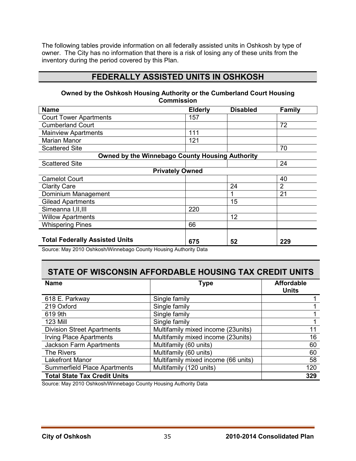The following tables provide information on all federally assisted units in Oshkosh by type of owner. The City has no information that there is a risk of losing any of these units from the inventory during the period covered by this Plan.

## **FEDERALLY ASSISTED UNITS IN OSHKOSH**

#### **Owned by the Oshkosh Housing Authority or the Cumberland Court Housing Commission**

| <b>Name</b>                                     | <b>Elderly</b> | <b>Disabled</b> | <b>Family</b>  |
|-------------------------------------------------|----------------|-----------------|----------------|
| <b>Court Tower Apartments</b>                   | 157            |                 |                |
| <b>Cumberland Court</b>                         |                |                 | 72             |
| <b>Mainview Apartments</b>                      | 111            |                 |                |
| <b>Marian Manor</b>                             | 121            |                 |                |
| <b>Scattered Site</b>                           |                |                 | 70             |
| Owned by the Winnebago County Housing Authority |                |                 |                |
| <b>Scattered Site</b>                           |                |                 | 24             |
| <b>Privately Owned</b>                          |                |                 |                |
| <b>Camelot Court</b>                            |                |                 | 40             |
| <b>Clarity Care</b>                             |                | 24              | $\overline{2}$ |
| Dominium Management                             |                |                 | 21             |
| <b>Gilead Apartments</b>                        |                | 15              |                |
| Simeanna I, II, III                             | 220            |                 |                |
| <b>Willow Apartments</b>                        |                | 12              |                |
| <b>Whispering Pines</b>                         | 66             |                 |                |
| <b>Total Federally Assisted Units</b>           | 675            | 52              | 229            |

Source: May 2010 Oshkosh/Winnebago County Housing Authority Data

## **STATE OF WISCONSIN AFFORDABLE HOUSING TAX CREDIT UNITS**

| <b>Name</b>                         | Type                                | <b>Affordable</b><br><b>Units</b> |
|-------------------------------------|-------------------------------------|-----------------------------------|
| 618 E. Parkway                      | Single family                       |                                   |
| 219 Oxford                          | Single family                       |                                   |
| 619 9th                             | Single family                       |                                   |
| <b>123 Mill</b>                     | Single family                       |                                   |
| <b>Division Street Apartments</b>   | Multifamily mixed income (23units)  | 11                                |
| <b>Irving Place Apartments</b>      | Multifamily mixed income (23units)  | 16                                |
| <b>Jackson Farm Apartments</b>      | Multifamily (60 units)              | 60                                |
| The Rivers                          | Multifamily (60 units)              | 60                                |
| <b>Lakefront Manor</b>              | Multifamily mixed income (66 units) | 58                                |
| <b>Summerfield Place Apartments</b> | Multifamily (120 units)             | 120                               |
| <b>Total State Tax Credit Units</b> |                                     | 329                               |

Source: May 2010 Oshkosh/Winnebago County Housing Authority Data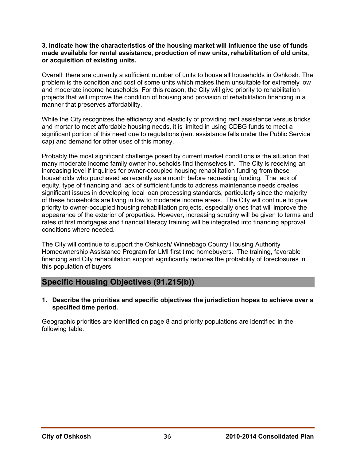#### **3. Indicate how the characteristics of the housing market will influence the use of funds made available for rental assistance, production of new units, rehabilitation of old units, or acquisition of existing units.**

Overall, there are currently a sufficient number of units to house all households in Oshkosh. The problem is the condition and cost of some units which makes them unsuitable for extremely low and moderate income households. For this reason, the City will give priority to rehabilitation projects that will improve the condition of housing and provision of rehabilitation financing in a manner that preserves affordability.

While the City recognizes the efficiency and elasticity of providing rent assistance versus bricks and mortar to meet affordable housing needs, it is limited in using CDBG funds to meet a significant portion of this need due to regulations (rent assistance falls under the Public Service cap) and demand for other uses of this money.

Probably the most significant challenge posed by current market conditions is the situation that many moderate income family owner households find themselves in. The City is receiving an increasing level if inquiries for owner-occupied housing rehabilitation funding from these households who purchased as recently as a month before requesting funding. The lack of equity, type of financing and lack of sufficient funds to address maintenance needs creates significant issues in developing local loan processing standards, particularly since the majority of these households are living in low to moderate income areas. The City will continue to give priority to owner-occupied housing rehabilitation projects, especially ones that will improve the appearance of the exterior of properties. However, increasing scrutiny will be given to terms and rates of first mortgages and financial literacy training will be integrated into financing approval conditions where needed.

The City will continue to support the Oshkosh/ Winnebago County Housing Authority Homeownership Assistance Program for LMI first time homebuyers. The training, favorable financing and City rehabilitation support significantly reduces the probability of foreclosures in this population of buyers.

## **Specific Housing Objectives (91.215(b))**

**1. Describe the priorities and specific objectives the jurisdiction hopes to achieve over a specified time period.** 

Geographic priorities are identified on page 8 and priority populations are identified in the following table.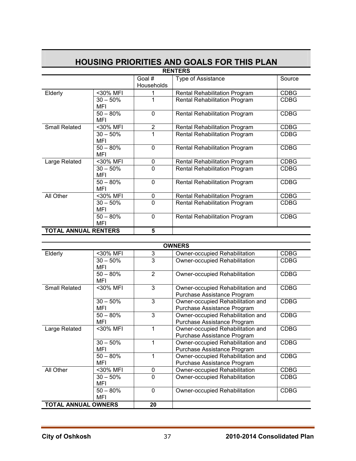| <b>RENTERS</b>              |            |                |                                      |             |  |  |  |
|-----------------------------|------------|----------------|--------------------------------------|-------------|--|--|--|
|                             |            | Goal #         | Type of Assistance                   | Source      |  |  |  |
|                             |            | Households     |                                      |             |  |  |  |
| Elderly                     | <30% MFI   |                | <b>Rental Rehabilitation Program</b> | <b>CDBG</b> |  |  |  |
|                             | $30 - 50%$ |                | <b>Rental Rehabilitation Program</b> | <b>CDBG</b> |  |  |  |
|                             | MFI        |                |                                      |             |  |  |  |
|                             | $50 - 80%$ | $\Omega$       | <b>Rental Rehabilitation Program</b> | <b>CDBG</b> |  |  |  |
|                             | MFI        |                |                                      |             |  |  |  |
| <b>Small Related</b>        | <30% MFI   | $\overline{2}$ | <b>Rental Rehabilitation Program</b> | <b>CDBG</b> |  |  |  |
|                             | $30 - 50%$ |                | <b>Rental Rehabilitation Program</b> | <b>CDBG</b> |  |  |  |
|                             | MFI        |                |                                      |             |  |  |  |
|                             | $50 - 80%$ | $\Omega$       | <b>Rental Rehabilitation Program</b> | <b>CDBG</b> |  |  |  |
|                             | MFI        |                |                                      |             |  |  |  |
| Large Related               | <30% MFI   | 0              | <b>Rental Rehabilitation Program</b> | <b>CDBG</b> |  |  |  |
|                             | $30 - 50%$ | 0              | <b>Rental Rehabilitation Program</b> | <b>CDBG</b> |  |  |  |
|                             | MFI        |                |                                      |             |  |  |  |
|                             | $50 - 80%$ | 0              | <b>Rental Rehabilitation Program</b> | <b>CDBG</b> |  |  |  |
|                             | MFI        |                |                                      |             |  |  |  |
| All Other                   | <30% MFI   | 0              | <b>Rental Rehabilitation Program</b> | <b>CDBG</b> |  |  |  |
|                             | $30 - 50%$ | 0              | <b>Rental Rehabilitation Program</b> | <b>CDBG</b> |  |  |  |
|                             | MFI        |                |                                      |             |  |  |  |
|                             | $50 - 80%$ | $\Omega$       | <b>Rental Rehabilitation Program</b> | <b>CDBG</b> |  |  |  |
|                             | MFI        |                |                                      |             |  |  |  |
| <b>TOTAL ANNUAL RENTERS</b> |            | 5              |                                      |             |  |  |  |

## **HOUSING PRIORITIES AND GOALS FOR THIS PLAN**

| <b>OWNERS</b>              |            |                |                                      |             |  |  |  |
|----------------------------|------------|----------------|--------------------------------------|-------------|--|--|--|
| Elderly                    | <30% MFI   | 3              | <b>Owner-occupied Rehabilitation</b> | <b>CDBG</b> |  |  |  |
|                            | $30 - 50%$ | 3              | Owner-occupied Rehabilitation        | <b>CDBG</b> |  |  |  |
|                            | MFI        |                |                                      |             |  |  |  |
|                            | $50 - 80%$ | $\overline{2}$ | Owner-occupied Rehabilitation        | <b>CDBG</b> |  |  |  |
|                            | MFI        |                |                                      |             |  |  |  |
| <b>Small Related</b>       | <30% MFI   | 3              | Owner-occupied Rehabilitation and    | <b>CDBG</b> |  |  |  |
|                            |            |                | Purchase Assistance Program          |             |  |  |  |
|                            | $30 - 50%$ | 3              | Owner-occupied Rehabilitation and    | <b>CDBG</b> |  |  |  |
|                            | MFI        |                | Purchase Assistance Program          |             |  |  |  |
|                            | $50 - 80%$ | 3              | Owner-occupied Rehabilitation and    | <b>CDBG</b> |  |  |  |
|                            | MFI        |                | Purchase Assistance Program          |             |  |  |  |
| Large Related              | <30% MFI   |                | Owner-occupied Rehabilitation and    | <b>CDBG</b> |  |  |  |
|                            |            |                | Purchase Assistance Program          |             |  |  |  |
|                            | $30 - 50%$ | 1              | Owner-occupied Rehabilitation and    | <b>CDBG</b> |  |  |  |
|                            | MFI        |                | Purchase Assistance Program          |             |  |  |  |
|                            | $50 - 80%$ | 1              | Owner-occupied Rehabilitation and    | <b>CDBG</b> |  |  |  |
|                            | MFI        |                | Purchase Assistance Program          |             |  |  |  |
| All Other                  | <30% MFI   | 0              | Owner-occupied Rehabilitation        | <b>CDBG</b> |  |  |  |
|                            | $30 - 50%$ | $\Omega$       | Owner-occupied Rehabilitation        | <b>CDBG</b> |  |  |  |
|                            | MFI        |                |                                      |             |  |  |  |
|                            | $50 - 80%$ | 0              | Owner-occupied Rehabilitation        | <b>CDBG</b> |  |  |  |
|                            | MFI        |                |                                      |             |  |  |  |
| <b>TOTAL ANNUAL OWNERS</b> |            | 20             |                                      |             |  |  |  |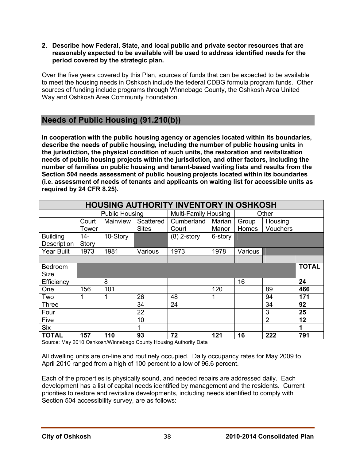**2. Describe how Federal, State, and local public and private sector resources that are reasonably expected to be available will be used to address identified needs for the period covered by the strategic plan.** 

Over the five years covered by this Plan, sources of funds that can be expected to be available to meet the housing needs in Oshkosh include the federal CDBG formula program funds. Other sources of funding include programs through Winnebago County, the Oshkosh Area United Way and Oshkosh Area Community Foundation.

## **Needs of Public Housing (91.210(b))**

**In cooperation with the public housing agency or agencies located within its boundaries, describe the needs of public housing, including the number of public housing units in the jurisdiction, the physical condition of such units, the restoration and revitalization needs of public housing projects within the jurisdiction, and other factors, including the number of families on public housing and tenant-based waiting lists and results from the Section 504 needs assessment of public housing projects located within its boundaries (i.e. assessment of needs of tenants and applicants on waiting list for accessible units as required by 24 CFR 8.25).** 

| <b>HOUSING AUTHORITY INVENTORY IN OSHKOSH</b> |                |                       |                           |                             |                 |                |                     |              |
|-----------------------------------------------|----------------|-----------------------|---------------------------|-----------------------------|-----------------|----------------|---------------------|--------------|
|                                               |                | <b>Public Housing</b> |                           | <b>Multi-Family Housing</b> |                 |                | Other               |              |
|                                               | Court<br>Tower | Mainview              | Scattered<br><b>Sites</b> | Cumberland<br>Court         | Marian<br>Manor | Group<br>Homes | Housing<br>Vouchers |              |
| <b>Building</b><br>Description                | $14-$<br>Story | 10-Story              |                           | $(8)$ 2-story               | 6-story         |                |                     |              |
| <b>Year Built</b>                             | 1973           | 1981                  | Various                   | 1973                        | 1978            | Various        |                     |              |
|                                               |                |                       |                           |                             |                 |                |                     |              |
| Bedroom<br><b>Size</b>                        |                |                       |                           |                             |                 |                |                     | <b>TOTAL</b> |
| Efficiency                                    |                | 8                     |                           |                             |                 | 16             |                     | 24           |
| One                                           | 156            | 101                   |                           |                             | 120             |                | 89                  | 466          |
| Two                                           |                | 1                     | 26                        | 48                          | 1               |                | 94                  | 171          |
| Three                                         |                |                       | 34                        | 24                          |                 |                | 34                  | 92           |
| Four                                          |                |                       | 22                        |                             |                 |                | 3                   | 25           |
| Five                                          |                |                       | 10                        |                             |                 |                | $\overline{2}$      | 12           |
| <b>Six</b>                                    |                |                       | 1                         |                             |                 |                |                     | 1            |
| <b>TOTAL</b>                                  | 157            | 110                   | 93                        | 72                          | 121             | 16             | 222                 | 791          |

Source: May 2010 Oshkosh/Winnebago County Housing Authority Data

All dwelling units are on-line and routinely occupied. Daily occupancy rates for May 2009 to April 2010 ranged from a high of 100 percent to a low of 96.6 percent.

Each of the properties is physically sound, and needed repairs are addressed daily. Each development has a list of capital needs identified by management and the residents. Current priorities to restore and revitalize developments, including needs identified to comply with Section 504 accessibility survey, are as follows: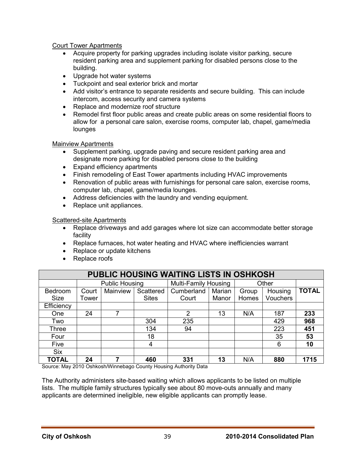#### Court Tower Apartments

- Acquire property for parking upgrades including isolate visitor parking, secure resident parking area and supplement parking for disabled persons close to the building.
- Upgrade hot water systems
- Tuckpoint and seal exterior brick and mortar
- Add visitor's entrance to separate residents and secure building. This can include intercom, access security and camera systems
- Replace and modernize roof structure
- Remodel first floor public areas and create public areas on some residential floors to allow for a personal care salon, exercise rooms, computer lab, chapel, game/media lounges

#### Mainview Apartments

- Supplement parking, upgrade paving and secure resident parking area and designate more parking for disabled persons close to the building
- Expand efficiency apartments
- Finish remodeling of East Tower apartments including HVAC improvements
- Renovation of public areas with furnishings for personal care salon, exercise rooms, computer lab, chapel, game/media lounges.
- Address deficiencies with the laundry and vending equipment.
- Replace unit appliances.

#### Scattered-site Apartments

- Replace driveways and add garages where lot size can accommodate better storage facility
- Replace furnaces, hot water heating and HVAC where inefficiencies warrant
- Replace or update kitchens
- Replace roofs

| PUBLIC HOUSING WAITING LISTS IN OSHKOSH |       |                       |              |                             |        |       |                 |              |
|-----------------------------------------|-------|-----------------------|--------------|-----------------------------|--------|-------|-----------------|--------------|
|                                         |       | <b>Public Housing</b> |              | <b>Multi-Family Housing</b> |        | Other |                 |              |
| Bedroom                                 | Court | Mainview              | Scattered    | Cumberland                  | Marian | Group | Housing         | <b>TOTAL</b> |
| <b>Size</b>                             | Tower |                       | <b>Sites</b> | Court                       | Manor  | Homes | <b>Vouchers</b> |              |
| Efficiency                              |       |                       |              |                             |        |       |                 |              |
| <b>One</b>                              | 24    | 7                     |              | 2                           | 13     | N/A   | 187             | 233          |
| Two                                     |       |                       | 304          | 235                         |        |       | 429             | 968          |
| <b>Three</b>                            |       |                       | 134          | 94                          |        |       | 223             | 451          |
| Four                                    |       |                       | 18           |                             |        |       | 35              | 53           |
| Five                                    |       |                       | 4            |                             |        |       | 6               | 10           |
| <b>Six</b>                              |       |                       |              |                             |        |       |                 |              |
| <b>TOTAL</b>                            | 24    | 7                     | 460          | 331                         | 13     | N/A   | 880             | 1715         |

Source: May 2010 Oshkosh/Winnebago County Housing Authority Data

The Authority administers site-based waiting which allows applicants to be listed on multiple lists. The multiple family structures typically see about 80 move-outs annually and many applicants are determined ineligible, new eligible applicants can promptly lease.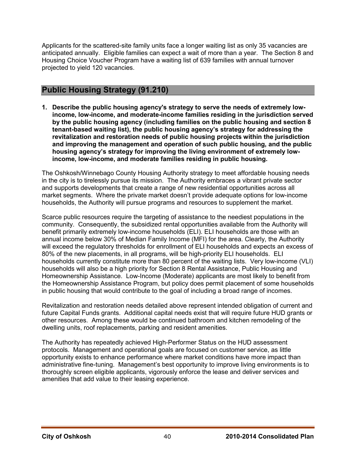Applicants for the scattered-site family units face a longer waiting list as only 35 vacancies are anticipated annually. Eligible families can expect a wait of more than a year. The Section 8 and Housing Choice Voucher Program have a waiting list of 639 families with annual turnover projected to yield 120 vacancies.

## **Public Housing Strategy (91.210)**

**1. Describe the public housing agency's strategy to serve the needs of extremely lowincome, low-income, and moderate-income families residing in the jurisdiction served by the public housing agency (including families on the public housing and section 8 tenant-based waiting list), the public housing agency's strategy for addressing the revitalization and restoration needs of public housing projects within the jurisdiction and improving the management and operation of such public housing, and the public housing agency's strategy for improving the living environment of extremely lowincome, low-income, and moderate families residing in public housing.** 

The Oshkosh/Winnebago County Housing Authority strategy to meet affordable housing needs in the city is to tirelessly pursue its mission. The Authority embraces a vibrant private sector and supports developments that create a range of new residential opportunities across all market segments. Where the private market doesn't provide adequate options for low-income households, the Authority will pursue programs and resources to supplement the market.

Scarce public resources require the targeting of assistance to the neediest populations in the community. Consequently, the subsidized rental opportunities available from the Authority will benefit primarily extremely low-income households (ELI). ELI households are those with an annual income below 30% of Median Family Income (MFI) for the area. Clearly, the Authority will exceed the regulatory thresholds for enrollment of ELI households and expects an excess of 80% of the new placements, in all programs, will be high-priority ELI households. ELI households currently constitute more than 80 percent of the waiting lists. Very low-income (VLI) households will also be a high priority for Section 8 Rental Assistance, Public Housing and Homeownership Assistance. Low-Income (Moderate) applicants are most likely to benefit from the Homeownership Assistance Program, but policy does permit placement of some households in public housing that would contribute to the goal of including a broad range of incomes.

Revitalization and restoration needs detailed above represent intended obligation of current and future Capital Funds grants. Additional capital needs exist that will require future HUD grants or other resources. Among these would be continued bathroom and kitchen remodeling of the dwelling units, roof replacements, parking and resident amenities.

The Authority has repeatedly achieved High-Performer Status on the HUD assessment protocols. Management and operational goals are focused on customer service, as little opportunity exists to enhance performance where market conditions have more impact than administrative fine-tuning. Management's best opportunity to improve living environments is to thoroughly screen eligible applicants, vigorously enforce the lease and deliver services and amenities that add value to their leasing experience.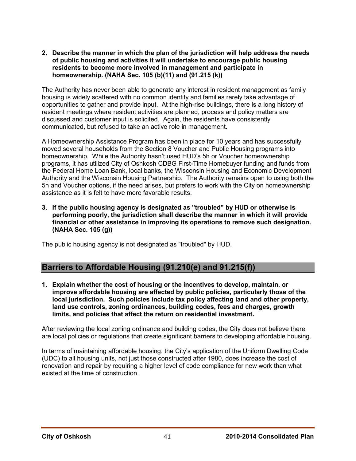**2. Describe the manner in which the plan of the jurisdiction will help address the needs of public housing and activities it will undertake to encourage public housing residents to become more involved in management and participate in homeownership. (NAHA Sec. 105 (b)(11) and (91.215 (k))** 

The Authority has never been able to generate any interest in resident management as family housing is widely scattered with no common identity and families rarely take advantage of opportunities to gather and provide input. At the high-rise buildings, there is a long history of resident meetings where resident activities are planned, process and policy matters are discussed and customer input is solicited. Again, the residents have consistently communicated, but refused to take an active role in management.

A Homeownership Assistance Program has been in place for 10 years and has successfully moved several households from the Section 8 Voucher and Public Housing programs into homeownership. While the Authority hasn't used HUD's 5h or Voucher homeownership programs, it has utilized City of Oshkosh CDBG First-Time Homebuyer funding and funds from the Federal Home Loan Bank, local banks, the Wisconsin Housing and Economic Development Authority and the Wisconsin Housing Partnership. The Authority remains open to using both the 5h and Voucher options, if the need arises, but prefers to work with the City on homeownership assistance as it is felt to have more favorable results.

**3. If the public housing agency is designated as "troubled" by HUD or otherwise is performing poorly, the jurisdiction shall describe the manner in which it will provide financial or other assistance in improving its operations to remove such designation. (NAHA Sec. 105 (g))** 

The public housing agency is not designated as "troubled" by HUD.

## **Barriers to Affordable Housing (91.210(e) and 91.215(f))**

**1. Explain whether the cost of housing or the incentives to develop, maintain, or improve affordable housing are affected by public policies, particularly those of the local jurisdiction. Such policies include tax policy affecting land and other property, land use controls, zoning ordinances, building codes, fees and charges, growth limits, and policies that affect the return on residential investment.** 

After reviewing the local zoning ordinance and building codes, the City does not believe there are local policies or regulations that create significant barriers to developing affordable housing.

In terms of maintaining affordable housing, the City's application of the Uniform Dwelling Code (UDC) to all housing units, not just those constructed after 1980, does increase the cost of renovation and repair by requiring a higher level of code compliance for new work than what existed at the time of construction.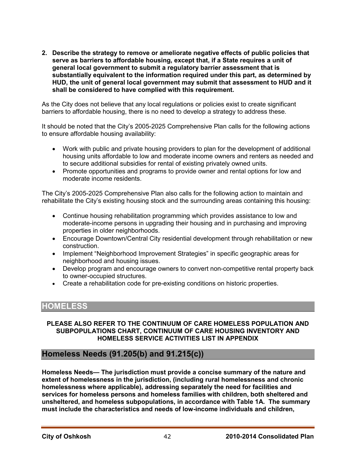**2. Describe the strategy to remove or ameliorate negative effects of public policies that serve as barriers to affordable housing, except that, if a State requires a unit of general local government to submit a regulatory barrier assessment that is substantially equivalent to the information required under this part, as determined by HUD, the unit of general local government may submit that assessment to HUD and it shall be considered to have complied with this requirement.** 

As the City does not believe that any local regulations or policies exist to create significant barriers to affordable housing, there is no need to develop a strategy to address these.

It should be noted that the City's 2005-2025 Comprehensive Plan calls for the following actions to ensure affordable housing availability:

- Work with public and private housing providers to plan for the development of additional housing units affordable to low and moderate income owners and renters as needed and to secure additional subsidies for rental of existing privately owned units.
- Promote opportunities and programs to provide owner and rental options for low and moderate income residents.

The City's 2005-2025 Comprehensive Plan also calls for the following action to maintain and rehabilitate the City's existing housing stock and the surrounding areas containing this housing:

- Continue housing rehabilitation programming which provides assistance to low and moderate-income persons in upgrading their housing and in purchasing and improving properties in older neighborhoods.
- Encourage Downtown/Central City residential development through rehabilitation or new construction.
- Implement "Neighborhood Improvement Strategies" in specific geographic areas for neighborhood and housing issues.
- Develop program and encourage owners to convert non-competitive rental property back to owner-occupied structures.
- Create a rehabilitation code for pre-existing conditions on historic properties.

## **HOMELESS**

#### **PLEASE ALSO REFER TO THE CONTINUUM OF CARE HOMELESS POPULATION AND SUBPOPULATIONS CHART, CONTINUUM OF CARE HOUSING INVENTORY AND HOMELESS SERVICE ACTIVITIES LIST IN APPENDIX**

## **Homeless Needs (91.205(b) and 91.215(c))**

**Homeless Needs— The jurisdiction must provide a concise summary of the nature and extent of homelessness in the jurisdiction, (including rural homelessness and chronic homelessness where applicable), addressing separately the need for facilities and services for homeless persons and homeless families with children, both sheltered and unsheltered, and homeless subpopulations, in accordance with Table 1A. The summary must include the characteristics and needs of low-income individuals and children,**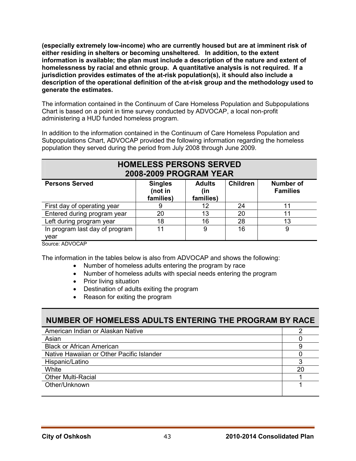**(especially extremely low-income) who are currently housed but are at imminent risk of either residing in shelters or becoming unsheltered. In addition, to the extent information is available; the plan must include a description of the nature and extent of homelessness by racial and ethnic group. A quantitative analysis is not required. If a jurisdiction provides estimates of the at-risk population(s), it should also include a description of the operational definition of the at-risk group and the methodology used to generate the estimates.**

The information contained in the Continuum of Care Homeless Population and Subpopulations Chart is based on a point in time survey conducted by ADVOCAP, a local non-profit administering a HUD funded homeless program.

In addition to the information contained in the Continuum of Care Homeless Population and Subpopulations Chart, ADVOCAP provided the following information regarding the homeless population they served during the period from July 2008 through June 2009.

| <b>HOMELESS PERSONS SERVED</b><br><b>2008-2009 PROGRAM YEAR</b> |                                        |                                   |                 |                                     |  |  |  |  |
|-----------------------------------------------------------------|----------------------------------------|-----------------------------------|-----------------|-------------------------------------|--|--|--|--|
| <b>Persons Served</b>                                           | <b>Singles</b><br>(not in<br>families) | <b>Adults</b><br>(in<br>families) | <b>Children</b> | <b>Number of</b><br><b>Families</b> |  |  |  |  |
| First day of operating year                                     | 9                                      | 12                                | 24              | 11                                  |  |  |  |  |
| Entered during program year                                     | 20                                     | 13                                | 20              | 11                                  |  |  |  |  |
| Left during program year                                        | 18                                     | 16                                | 28              | 13                                  |  |  |  |  |
| In program last day of program<br>vear                          | 11                                     | 9                                 | 16              | 9                                   |  |  |  |  |

Source: ADVOCAP

The information in the tables below is also from ADVOCAP and shows the following:

- Number of homeless adults entering the program by race
- Number of homeless adults with special needs entering the program
- Prior living situation
- Destination of adults exiting the program
- Reason for exiting the program

| NUMBER OF HOMELESS ADULTS ENTERING THE PROGRAM BY RACE |    |
|--------------------------------------------------------|----|
| American Indian or Alaskan Native                      |    |
| Asian                                                  |    |
| <b>Black or African American</b>                       | 9  |
| Native Hawaiian or Other Pacific Islander              |    |
| Hispanic/Latino                                        |    |
| White                                                  | 20 |
| <b>Other Multi-Racial</b>                              |    |
| Other/Unknown                                          |    |
|                                                        |    |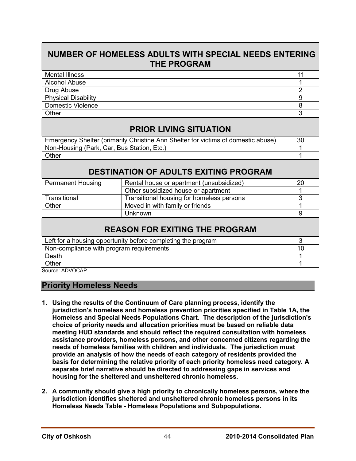## **NUMBER OF HOMELESS ADULTS WITH SPECIAL NEEDS ENTERING THE PROGRAM**

| <b>Mental Illness</b>      |  |
|----------------------------|--|
| <b>Alcohol Abuse</b>       |  |
| Drug Abuse                 |  |
| <b>Physical Disability</b> |  |
| Domestic Violence          |  |
| Other                      |  |

## **PRIOR LIVING SITUATION**

| Emergency Shelter (primarily Christine Ann Shelter for victims of domestic abuse) | 30 |
|-----------------------------------------------------------------------------------|----|
| Non-Housing (Park, Car, Bus Station, Etc.)                                        |    |
| Other                                                                             |    |

## **DESTINATION OF ADULTS EXITING PROGRAM**

| <b>Permanent Housing</b> | Rental house or apartment (unsubsidized)  | 20 |
|--------------------------|-------------------------------------------|----|
|                          | Other subsidized house or apartment       |    |
| Transitional             | Transitional housing for homeless persons |    |
| Other                    | Moved in with family or friends           |    |
|                          | <b>Unknown</b>                            |    |

## **REASON FOR EXITING THE PROGRAM**

| Non-compliance with program requirements |  |
|------------------------------------------|--|
|                                          |  |
| Death                                    |  |
| Other                                    |  |

Source: ADVOCAP

## **Priority Homeless Needs**

- **1. Using the results of the Continuum of Care planning process, identify the jurisdiction's homeless and homeless prevention priorities specified in Table 1A, the Homeless and Special Needs Populations Chart. The description of the jurisdiction's choice of priority needs and allocation priorities must be based on reliable data meeting HUD standards and should reflect the required consultation with homeless assistance providers, homeless persons, and other concerned citizens regarding the needs of homeless families with children and individuals. The jurisdiction must provide an analysis of how the needs of each category of residents provided the basis for determining the relative priority of each priority homeless need category. A separate brief narrative should be directed to addressing gaps in services and housing for the sheltered and unsheltered chronic homeless.**
- **2. A community should give a high priority to chronically homeless persons, where the jurisdiction identifies sheltered and unsheltered chronic homeless persons in its Homeless Needs Table - Homeless Populations and Subpopulations.**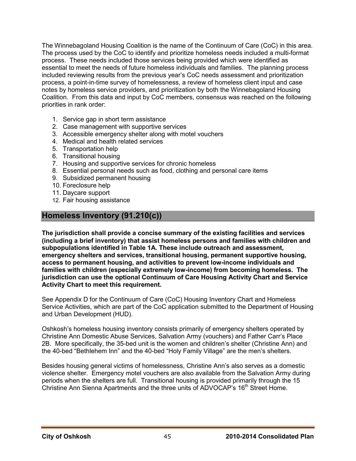The Winnebagoland Housing Coalition is the name of the Continuum of Care (CoC) in this area. The process used by the CoC to identify and prioritize homeless needs included a multi-format process. These needs included those services being provided which were identified as essential to meet the needs of future homeless individuals and families. The planning process included reviewing results from the previous year's CoC needs assessment and prioritization process, a point-in-time survey of homelessness, a review of homeless client input and case notes by homeless service providers, and prioritization by both the Winnebagoland Housing Coalition. From this data and input by CoC members, consensus was reached on the following priorities in rank order:

- 1. Service gap in short term assistance
- 2. Case management with supportive services
- 3. Accessible emergency shelter along with motel vouchers
- 4. Medical and health related services
- 5. Transportation help
- 6. Transitional housing
- 7. Housing and supportive services for chronic homeless
- 8. Essential personal needs such as food, clothing and personal care items
- 9. Subsidized permanent housing
- 10. Foreclosure help
- 11. Daycare support
- 12. Fair housing assistance

## **Homeless Inventory (91.210(c))**

**The jurisdiction shall provide a concise summary of the existing facilities and services (including a brief inventory) that assist homeless persons and families with children and subpopulations identified in Table 1A. These include outreach and assessment, emergency shelters and services, transitional housing, permanent supportive housing, access to permanent housing, and activities to prevent low-income individuals and families with children (especially extremely low-income) from becoming homeless. The jurisdiction can use the optional Continuum of Care Housing Activity Chart and Service Activity Chart to meet this requirement.** 

See Appendix D for the Continuum of Care (CoC) Housing Inventory Chart and Homeless Service Activities, which are part of the CoC application submitted to the Department of Housing and Urban Development (HUD).

Oshkosh's homeless housing inventory consists primarily of emergency shelters operated by Christine Ann Domestic Abuse Services, Salvation Army (vouchers) and Father Carr's Place 2B. More specifically, the 35-bed unit is the women and children's shelter (Christine Ann) and the 40-bed "Bethlehem Inn" and the 40-bed "Holy Family Village" are the men's shelters.

Besides housing general victims of homelessness, Christine Ann's also serves as a domestic violence shelter. Emergency motel vouchers are also available from the Salvation Army during periods when the shelters are full. Transitional housing is provided primarily through the 15 Christine Ann Sienna Apartments and the three units of ADVOCAP's 16<sup>th</sup> Street Home.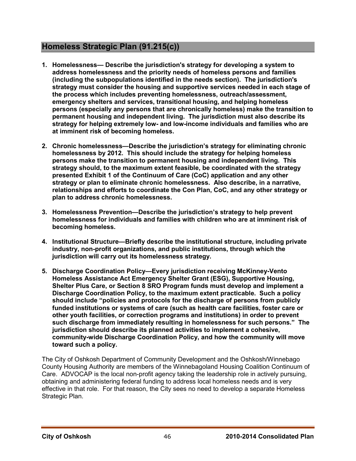## **Homeless Strategic Plan (91.215(c))**

- **1. Homelessness— Describe the jurisdiction's strategy for developing a system to address homelessness and the priority needs of homeless persons and families (including the subpopulations identified in the needs section). The jurisdiction's strategy must consider the housing and supportive services needed in each stage of the process which includes preventing homelessness, outreach/assessment, emergency shelters and services, transitional housing, and helping homeless persons (especially any persons that are chronically homeless) make the transition to permanent housing and independent living. The jurisdiction must also describe its strategy for helping extremely low- and low-income individuals and families who are at imminent risk of becoming homeless.**
- **2. Chronic homelessness—Describe the jurisdiction's strategy for eliminating chronic homelessness by 2012. This should include the strategy for helping homeless persons make the transition to permanent housing and independent living. This strategy should, to the maximum extent feasible, be coordinated with the strategy presented Exhibit 1 of the Continuum of Care (CoC) application and any other strategy or plan to eliminate chronic homelessness. Also describe, in a narrative, relationships and efforts to coordinate the Con Plan, CoC, and any other strategy or plan to address chronic homelessness.**
- **3. Homelessness Prevention—Describe the jurisdiction's strategy to help prevent homelessness for individuals and families with children who are at imminent risk of becoming homeless.**
- **4. Institutional Structure—Briefly describe the institutional structure, including private industry, non-profit organizations, and public institutions, through which the jurisdiction will carry out its homelessness strategy.**
- **5. Discharge Coordination Policy—Every jurisdiction receiving McKinney-Vento Homeless Assistance Act Emergency Shelter Grant (ESG), Supportive Housing, Shelter Plus Care, or Section 8 SRO Program funds must develop and implement a Discharge Coordination Policy, to the maximum extent practicable. Such a policy should include "policies and protocols for the discharge of persons from publicly funded institutions or systems of care (such as health care facilities, foster care or other youth facilities, or correction programs and institutions) in order to prevent such discharge from immediately resulting in homelessness for such persons." The jurisdiction should describe its planned activities to implement a cohesive, community-wide Discharge Coordination Policy, and how the community will move toward such a policy.**

The City of Oshkosh Department of Community Development and the Oshkosh/Winnebago County Housing Authority are members of the Winnebagoland Housing Coalition Continuum of Care. ADVOCAP is the local non-profit agency taking the leadership role in actively pursuing, obtaining and administering federal funding to address local homeless needs and is very effective in that role. For that reason, the City sees no need to develop a separate Homeless Strategic Plan.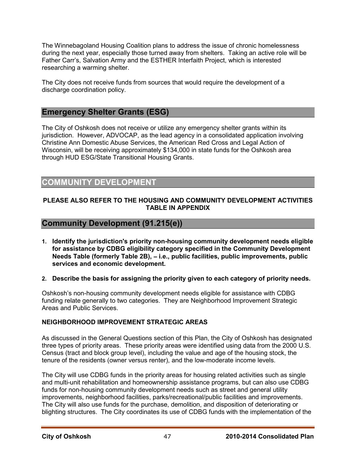The Winnebagoland Housing Coalition plans to address the issue of chronic homelessness during the next year, especially those turned away from shelters. Taking an active role will be Father Carr's, Salvation Army and the ESTHER Interfaith Project, which is interested researching a warming shelter.

The City does not receive funds from sources that would require the development of a discharge coordination policy.

## **Emergency Shelter Grants (ESG)**

The City of Oshkosh does not receive or utilize any emergency shelter grants within its jurisdiction. However, ADVOCAP, as the lead agency in a consolidated application involving Christine Ann Domestic Abuse Services, the American Red Cross and Legal Action of Wisconsin, will be receiving approximately \$134,000 in state funds for the Oshkosh area through HUD ESG/State Transitional Housing Grants.

## **COMMUNITY DEVELOPMENT**

#### **PLEASE ALSO REFER TO THE HOUSING AND COMMUNITY DEVELOPMENT ACTIVITIES TABLE IN APPENDIX**

## **Community Development (91.215(e))**

- **1. Identify the jurisdiction's priority non-housing community development needs eligible for assistance by CDBG eligibility category specified in the Community Development Needs Table (formerly Table 2B),** − **i.e., public facilities, public improvements, public services and economic development.**
- **2. Describe the basis for assigning the priority given to each category of priority needs.**

Oshkosh's non-housing community development needs eligible for assistance with CDBG funding relate generally to two categories. They are Neighborhood Improvement Strategic Areas and Public Services.

#### **NEIGHBORHOOD IMPROVEMENT STRATEGIC AREAS**

As discussed in the General Questions section of this Plan, the City of Oshkosh has designated three types of priority areas. These priority areas were identified using data from the 2000 U.S. Census (tract and block group level), including the value and age of the housing stock, the tenure of the residents (owner versus renter), and the low-moderate income levels.

The City will use CDBG funds in the priority areas for housing related activities such as single and multi-unit rehabilitation and homeownership assistance programs, but can also use CDBG funds for non-housing community development needs such as street and general utility improvements, neighborhood facilities, parks/recreational/public facilities and improvements. The City will also use funds for the purchase, demolition, and disposition of deteriorating or blighting structures. The City coordinates its use of CDBG funds with the implementation of the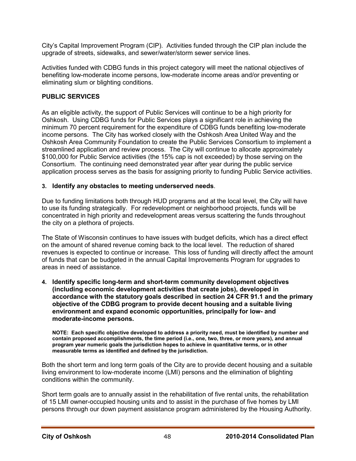City's Capital Improvement Program (CIP). Activities funded through the CIP plan include the upgrade of streets, sidewalks, and sewer/water/storm sewer service lines.

Activities funded with CDBG funds in this project category will meet the national objectives of benefiting low-moderate income persons, low-moderate income areas and/or preventing or eliminating slum or blighting conditions.

#### **PUBLIC SERVICES**

As an eligible activity, the support of Public Services will continue to be a high priority for Oshkosh. Using CDBG funds for Public Services plays a significant role in achieving the minimum 70 percent requirement for the expenditure of CDBG funds benefiting low-moderate income persons. The City has worked closely with the Oshkosh Area United Way and the Oshkosh Area Community Foundation to create the Public Services Consortium to implement a streamlined application and review process. The City will continue to allocate approximately \$100,000 for Public Service activities (the 15% cap is not exceeded) by those serving on the Consortium. The continuing need demonstrated year after year during the public service application process serves as the basis for assigning priority to funding Public Service activities.

#### **3. Identify any obstacles to meeting underserved needs**.

Due to funding limitations both through HUD programs and at the local level, the City will have to use its funding strategically. For redevelopment or neighborhood projects, funds will be concentrated in high priority and redevelopment areas versus scattering the funds throughout the city on a plethora of projects.

The State of Wisconsin continues to have issues with budget deficits, which has a direct effect on the amount of shared revenue coming back to the local level. The reduction of shared revenues is expected to continue or increase. This loss of funding will directly affect the amount of funds that can be budgeted in the annual Capital Improvements Program for upgrades to areas in need of assistance.

**4. Identify specific long-term and short-term community development objectives (including economic development activities that create jobs), developed in accordance with the statutory goals described in section 24 CFR 91.1 and the primary objective of the CDBG program to provide decent housing and a suitable living environment and expand economic opportunities, principally for low- and moderate-income persons.** 

**NOTE: Each specific objective developed to address a priority need, must be identified by number and contain proposed accomplishments, the time period (i.e., one, two, three, or more years), and annual program year numeric goals the jurisdiction hopes to achieve in quantitative terms, or in other measurable terms as identified and defined by the jurisdiction.** 

Both the short term and long term goals of the City are to provide decent housing and a suitable living environment to low-moderate income (LMI) persons and the elimination of blighting conditions within the community.

Short term goals are to annually assist in the rehabilitation of five rental units, the rehabilitation of 15 LMI owner-occupied housing units and to assist in the purchase of five homes by LMI persons through our down payment assistance program administered by the Housing Authority.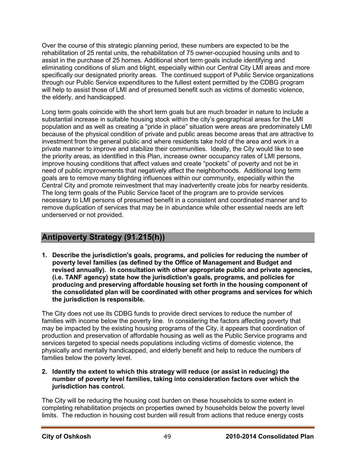Over the course of this strategic planning period, these numbers are expected to be the rehabilitation of 25 rental units, the rehabilitation of 75 owner-occupied housing units and to assist in the purchase of 25 homes. Additional short term goals include identifying and eliminating conditions of slum and blight, especially within our Central City LMI areas and more specifically our designated priority areas. The continued support of Public Service organizations through our Public Service expenditures to the fullest extent permitted by the CDBG program will help to assist those of LMI and of presumed benefit such as victims of domestic violence, the elderly, and handicapped.

Long term goals coincide with the short term goals but are much broader in nature to include a substantial increase in suitable housing stock within the city's geographical areas for the LMI population and as well as creating a "pride in place" situation were areas are predominately LMI because of the physical condition of private and public areas become areas that are attractive to investment from the general public and where residents take hold of the area and work in a private manner to improve and stabilize their communities. Ideally, the City would like to see the priority areas, as identified in this Plan, increase owner occupancy rates of LMI persons, improve housing conditions that affect values and create "pockets" of poverty and not be in need of public improvements that negatively affect the neighborhoods. Additional long term goals are to remove many blighting influences within our community, especially within the Central City and promote reinvestment that may inadvertently create jobs for nearby residents. The long term goals of the Public Service facet of the program are to provide services necessary to LMI persons of presumed benefit in a consistent and coordinated manner and to remove duplication of services that may be in abundance while other essential needs are left underserved or not provided.

## **Antipoverty Strategy (91.215(h))**

**1. Describe the jurisdiction's goals, programs, and policies for reducing the number of poverty level families (as defined by the Office of Management and Budget and revised annually). In consultation with other appropriate public and private agencies, (i.e. TANF agency) state how the jurisdiction's goals, programs, and policies for producing and preserving affordable housing set forth in the housing component of the consolidated plan will be coordinated with other programs and services for which the jurisdiction is responsible.** 

The City does not use its CDBG funds to provide direct services to reduce the number of families with income below the poverty line. In considering the factors affecting poverty that may be impacted by the existing housing programs of the City, it appears that coordination of production and preservation of affordable housing as well as the Public Service programs and services targeted to special needs populations including victims of domestic violence, the physically and mentally handicapped, and elderly benefit and help to reduce the numbers of families below the poverty level.

**2. Identify the extent to which this strategy will reduce (or assist in reducing) the number of poverty level families, taking into consideration factors over which the jurisdiction has control.** 

The City will be reducing the housing cost burden on these households to some extent in completing rehabilitation projects on properties owned by households below the poverty level limits. The reduction in housing cost burden will result from actions that reduce energy costs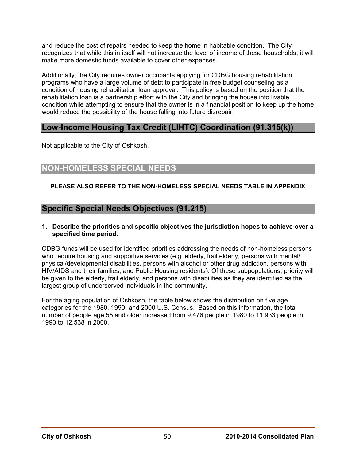and reduce the cost of repairs needed to keep the home in habitable condition. The City recognizes that while this in itself will not increase the level of income of these households, it will make more domestic funds available to cover other expenses.

Additionally, the City requires owner occupants applying for CDBG housing rehabilitation programs who have a large volume of debt to participate in free budget counseling as a condition of housing rehabilitation loan approval. This policy is based on the position that the rehabilitation loan is a partnership effort with the City and bringing the house into livable condition while attempting to ensure that the owner is in a financial position to keep up the home would reduce the possibility of the house falling into future disrepair.

## **Low-Income Housing Tax Credit (LIHTC) Coordination (91.315(k))**

Not applicable to the City of Oshkosh.

## **NON-HOMELESS SPECIAL NEEDS**

#### **PLEASE ALSO REFER TO THE NON-HOMELESS SPECIAL NEEDS TABLE IN APPENDIX**

## **Specific Special Needs Objectives (91.215)**

#### **1. Describe the priorities and specific objectives the jurisdiction hopes to achieve over a specified time period.**

CDBG funds will be used for identified priorities addressing the needs of non-homeless persons who require housing and supportive services (e.g. elderly, frail elderly, persons with mental/ physical/developmental disabilities, persons with alcohol or other drug addiction, persons with HIV/AIDS and their families, and Public Housing residents). Of these subpopulations, priority will be given to the elderly, frail elderly, and persons with disabilities as they are identified as the largest group of underserved individuals in the community.

For the aging population of Oshkosh, the table below shows the distribution on five age categories for the 1980, 1990, and 2000 U.S. Census. Based on this information, the total number of people age 55 and older increased from 9,476 people in 1980 to 11,933 people in 1990 to 12,538 in 2000.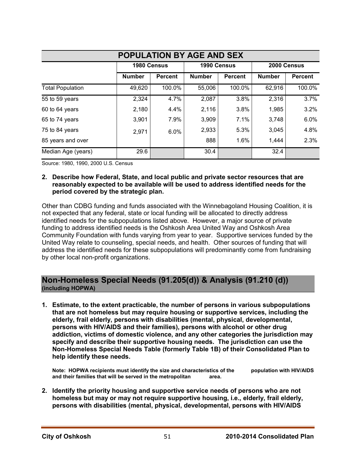| <b>POPULATION BY AGE AND SEX</b> |               |                |               |                |               |                |  |  |
|----------------------------------|---------------|----------------|---------------|----------------|---------------|----------------|--|--|
|                                  | 1980 Census   |                | 1990 Census   |                | 2000 Census   |                |  |  |
|                                  | <b>Number</b> | <b>Percent</b> | <b>Number</b> | <b>Percent</b> | <b>Number</b> | <b>Percent</b> |  |  |
| <b>Total Population</b>          | 49,620        | 100.0%         | 55,006        | 100.0%         | 62,916        | 100.0%         |  |  |
| 55 to 59 years                   | 2,324         | 4.7%           | 2,087         | 3.8%           | 2,316         | 3.7%           |  |  |
| 60 to 64 years                   | 2,180         | 4.4%           | 2,116         | 3.8%           | 1,985         | 3.2%           |  |  |
| 65 to 74 years                   | 3,901         | 7.9%           | 3,909         | 7.1%           | 3,748         | 6.0%           |  |  |
| 75 to 84 years                   | 2,971         | 6.0%           | 2,933         | 5.3%           | 3,045         | 4.8%           |  |  |
| 85 years and over                |               |                | 888           | 1.6%           | 1,444         | 2.3%           |  |  |
| Median Age (years)               | 29.6          |                | 30.4          |                | 32.4          |                |  |  |

Source: 1980, 1990, 2000 U.S. Census

**2. Describe how Federal, State, and local public and private sector resources that are reasonably expected to be available will be used to address identified needs for the period covered by the strategic plan.** 

Other than CDBG funding and funds associated with the Winnebagoland Housing Coalition, it is not expected that any federal, state or local funding will be allocated to directly address identified needs for the subpopulations listed above. However, a major source of private funding to address identified needs is the Oshkosh Area United Way and Oshkosh Area Community Foundation with funds varying from year to year. Supportive services funded by the United Way relate to counseling, special needs, and health. Other sources of funding that will address the identified needs for these subpopulations will predominantly come from fundraising by other local non-profit organizations.

## **Non-Homeless Special Needs (91.205(d)) & Analysis (91.210 (d)) (including HOPWA)**

**1. Estimate, to the extent practicable, the number of persons in various subpopulations that are not homeless but may require housing or supportive services, including the elderly, frail elderly, persons with disabilities (mental, physical, developmental, persons with HIV/AIDS and their families), persons with alcohol or other drug addiction, victims of domestic violence, and any other categories the jurisdiction may specify and describe their supportive housing needs. The jurisdiction can use the Non-Homeless Special Needs Table (formerly Table 1B) of their Consolidated Plan to help identify these needs.** 

**Note: HOPWA recipients must identify the size and characteristics of the population with HIV/AIDS and their families that will be served in the metropolitan area.** 

**2. Identify the priority housing and supportive service needs of persons who are not homeless but may or may not require supportive housing, i.e., elderly, frail elderly, persons with disabilities (mental, physical, developmental, persons with HIV/AIDS**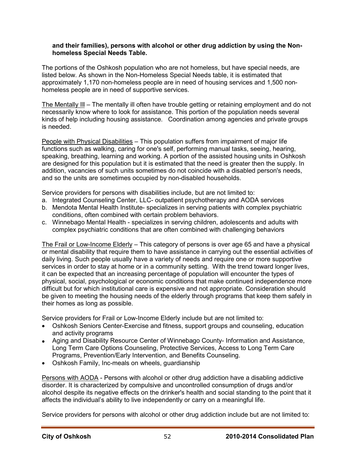#### **and their families), persons with alcohol or other drug addiction by using the Nonhomeless Special Needs Table.**

The portions of the Oshkosh population who are not homeless, but have special needs, are listed below. As shown in the Non-Homeless Special Needs table, it is estimated that approximately 1,170 non-homeless people are in need of housing services and 1,500 nonhomeless people are in need of supportive services.

The Mentally Ill – The mentally ill often have trouble getting or retaining employment and do not necessarily know where to look for assistance. This portion of the population needs several kinds of help including housing assistance. Coordination among agencies and private groups is needed.

People with Physical Disabilities – This population suffers from impairment of major life functions such as walking, caring for one's self, performing manual tasks, seeing, hearing, speaking, breathing, learning and working. A portion of the assisted housing units in Oshkosh are designed for this population but it is estimated that the need is greater then the supply. In addition, vacancies of such units sometimes do not coincide with a disabled person's needs, and so the units are sometimes occupied by non-disabled households.

Service providers for persons with disabilities include, but are not limited to:

- a. Integrated Counseling Center, LLC- outpatient psychotherapy and AODA services
- b. Mendota Mental Health Institute- specializes in serving patients with complex psychiatric conditions, often combined with certain problem behaviors.
- c. Winnebago Mental Health specializes in serving children, adolescents and adults with complex psychiatric conditions that are often combined with challenging behaviors

The Frail or Low-Income Elderly – This category of persons is over age 65 and have a physical or mental disability that require them to have assistance in carrying out the essential activities of daily living. Such people usually have a variety of needs and require one or more supportive services in order to stay at home or in a community setting. With the trend toward longer lives, it can be expected that an increasing percentage of population will encounter the types of physical, social, psychological or economic conditions that make continued independence more difficult but for which institutional care is expensive and not appropriate. Consideration should be given to meeting the housing needs of the elderly through programs that keep them safely in their homes as long as possible.

Service providers for Frail or Low-Income Elderly include but are not limited to:

- Oshkosh Seniors Center-Exercise and fitness, support groups and counseling, education and activity programs
- Aging and Disability Resource Center of Winnebago County- Information and Assistance, Long Term Care Options Counseling, Protective Services, Access to Long Term Care Programs, Prevention/Early Intervention, and Benefits Counseling.
- Oshkosh Family, Inc-meals on wheels, guardianship

Persons with AODA - Persons with alcohol or other drug addiction have a disabling addictive disorder. It is characterized by compulsive and uncontrolled consumption of drugs and/or alcohol despite its negative effects on the drinker's health and social standing to the point that it affects the individual's ability to live independently or carry on a meaningful life.

Service providers for persons with alcohol or other drug addiction include but are not limited to: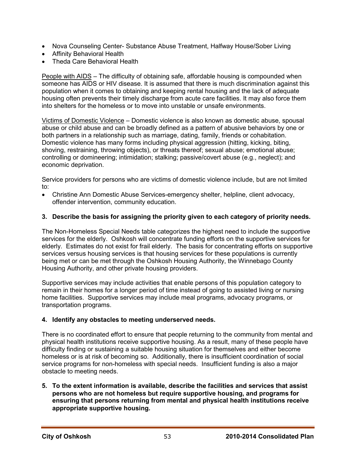- Nova Counseling Center- Substance Abuse Treatment, Halfway House/Sober Living
- Affinity Behavioral Health
- Theda Care Behavioral Health

People with AIDS – The difficulty of obtaining safe, affordable housing is compounded when someone has AIDS or HIV disease. It is assumed that there is much discrimination against this population when it comes to obtaining and keeping rental housing and the lack of adequate housing often prevents their timely discharge from acute care facilities. It may also force them into shelters for the homeless or to move into unstable or unsafe environments.

Victims of Domestic Violence – Domestic violence is also known as domestic abuse, spousal abuse or child abuse and can be broadly defined as a pattern of abusive behaviors by one or both partners in a relationship such as marriage, dating, family, friends or cohabitation. Domestic violence has many forms including physical aggression (hitting, kicking, biting, shoving, restraining, throwing objects), or threats thereof; sexual abuse; emotional abuse; controlling or domineering; intimidation; stalking; passive/covert abuse (e.g., neglect); and economic deprivation.

Service providers for persons who are victims of domestic violence include, but are not limited to:

• Christine Ann Domestic Abuse Services-emergency shelter, helpline, client advocacy, offender intervention, community education.

#### **3. Describe the basis for assigning the priority given to each category of priority needs.**

The Non-Homeless Special Needs table categorizes the highest need to include the supportive services for the elderly. Oshkosh will concentrate funding efforts on the supportive services for elderly. Estimates do not exist for frail elderly. The basis for concentrating efforts on supportive services versus housing services is that housing services for these populations is currently being met or can be met through the Oshkosh Housing Authority, the Winnebago County Housing Authority, and other private housing providers.

Supportive services may include activities that enable persons of this population category to remain in their homes for a longer period of time instead of going to assisted living or nursing home facilities. Supportive services may include meal programs, advocacy programs, or transportation programs.

#### **4. Identify any obstacles to meeting underserved needs.**

There is no coordinated effort to ensure that people returning to the community from mental and physical health institutions receive supportive housing. As a result, many of these people have difficulty finding or sustaining a suitable housing situation for themselves and either become homeless or is at risk of becoming so. Additionally, there is insufficient coordination of social service programs for non-homeless with special needs. Insufficient funding is also a major obstacle to meeting needs.

**5. To the extent information is available, describe the facilities and services that assist persons who are not homeless but require supportive housing, and programs for ensuring that persons returning from mental and physical health institutions receive appropriate supportive housing.**